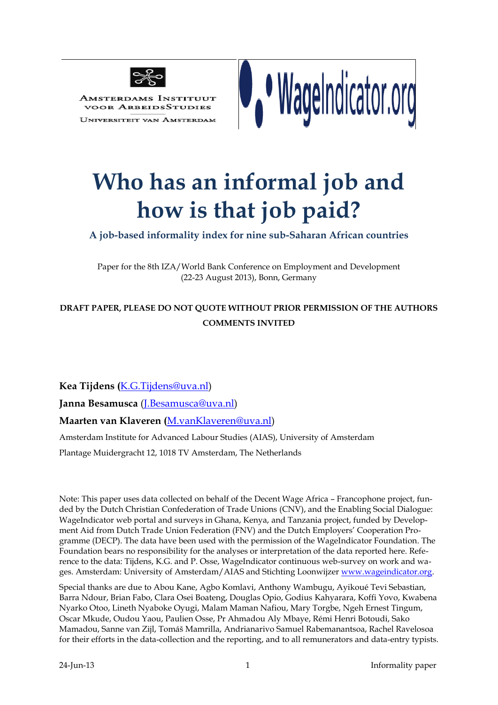

Amsterdams Instituut **VOOR ARBEIDSSTUDIES** 

**UNIVERSITEIT VAN AMSTERDAI** 



# **Who has an informal job and how is that job paid?**

**A job-based informality index for nine sub-Saharan African countries**

Paper for the 8th IZA/World Bank Conference on Employment and Development (22-23 August 2013), Bonn, Germany

# **DRAFT PAPER, PLEASE DO NOT QUOTE WITHOUT PRIOR PERMISSION OF THE AUTHORS COMMENTS INVITED**

**Kea Tijdens (**[K.G.Tijdens@uva.nl\)](mailto:K.G.Tijdens@uva.nl)

**Janna Besamusca** [\(J.Besamusca@uva.nl\)](mailto:J.Besamusca@uva.nl)

**Maarten van Klaveren (**[M.vanKlaveren@uva.nl\)](mailto:M.vanKlaveren@uva.nl)

Amsterdam Institute for Advanced Labour Studies (AIAS), University of Amsterdam

Plantage Muidergracht 12, 1018 TV Amsterdam, The Netherlands

Note: This paper uses data collected on behalf of the Decent Wage Africa – Francophone project, funded by the Dutch Christian Confederation of Trade Unions (CNV), and the Enabling Social Dialogue: WageIndicator web portal and surveys in Ghana, Kenya, and Tanzania project, funded by Development Aid from Dutch Trade Union Federation (FNV) and the Dutch Employers' Cooperation Programme (DECP). The data have been used with the permission of the WageIndicator Foundation. The Foundation bears no responsibility for the analyses or interpretation of the data reported here. Reference to the data: Tijdens, K.G. and P. Osse, WageIndicator continuous web-survey on work and wages. Amsterdam: University of Amsterdam/AIAS and Stichting Loonwijzer [www.wageindicator.org.](http://www.wageindicator.org/main/projects/decent-wage-africa)

Special thanks are due to Abou Kane, Agbo Komlavi, Anthony Wambugu, Ayikoué Tevi Sebastian, Barra Ndour, Brian Fabo, Clara Osei Boateng, Douglas Opio, Godius Kahyarara, Koffi Yovo, Kwabena Nyarko Otoo, Lineth Nyaboke Oyugi, Malam Maman Nafiou, Mary Torgbe, Ngeh Ernest Tingum, Oscar Mkude, Oudou Yaou, Paulien Osse, Pr Ahmadou Aly Mbaye, Rémi Henri Botoudi, Sako Mamadou, Sanne van Zijl, Tomáš Mamrilla, Andrianarivo Samuel Rabemanantsoa, Rachel Ravelosoa for their efforts in the data-collection and the reporting, and to all remunerators and data-entry typists.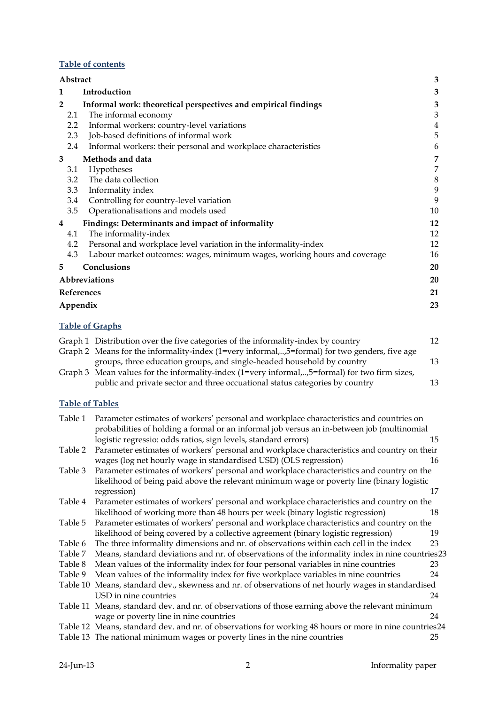## **Table of contents**

|                | Abstract      |                                                                          | 3  |
|----------------|---------------|--------------------------------------------------------------------------|----|
| 1              |               | Introduction                                                             | 3  |
| $\overline{2}$ |               | Informal work: theoretical perspectives and empirical findings           | 3  |
|                | 2.1           | The informal economy                                                     | 3  |
|                | $2.2^{\circ}$ | Informal workers: country-level variations                               | 4  |
|                | 2.3           | Job-based definitions of informal work                                   | 5  |
|                | 2.4           | Informal workers: their personal and workplace characteristics           | 6  |
| 3              |               | Methods and data                                                         | 7  |
|                | 3.1           | Hypotheses                                                               | 7  |
|                | 3.2           | The data collection                                                      | 8  |
|                | 3.3           | Informality index                                                        | 9  |
|                | 3.4           | Controlling for country-level variation                                  | 9  |
|                | 3.5           | Operationalisations and models used                                      | 10 |
| 4              |               | Findings: Determinants and impact of informality                         | 12 |
|                | 4.1           | The informality-index                                                    | 12 |
|                | 4.2           | Personal and workplace level variation in the informality-index          | 12 |
|                | 4.3           | Labour market outcomes: wages, minimum wages, working hours and coverage | 16 |
| 5              |               | Conclusions                                                              | 20 |
|                |               | <b>Abbreviations</b>                                                     | 20 |
|                |               | <b>References</b>                                                        | 21 |
|                |               | Appendix                                                                 | 23 |
|                |               |                                                                          |    |

## **Table of Graphs**

| Graph 1 Distribution over the five categories of the informality-index by country             | 12 |
|-----------------------------------------------------------------------------------------------|----|
| Graph 2 Means for the informality-index (1=very informal,,5=formal) for two genders, five age |    |
| groups, three education groups, and single-headed household by country                        | 13 |
| Graph 3 Mean values for the informality-index (1=very informal,,5=formal) for two firm sizes, |    |
| public and private sector and three occuational status categories by country                  | 13 |

## **Table of Tables**

|                                                                                                         | 15                                                                                                                                                                                                                                                      |
|---------------------------------------------------------------------------------------------------------|---------------------------------------------------------------------------------------------------------------------------------------------------------------------------------------------------------------------------------------------------------|
| Parameter estimates of workers' personal and workplace characteristics and country on their             |                                                                                                                                                                                                                                                         |
| wages (log net hourly wage in standardised USD) (OLS regression)                                        | 16                                                                                                                                                                                                                                                      |
| Parameter estimates of workers' personal and workplace characteristics and country on the               |                                                                                                                                                                                                                                                         |
| likelihood of being paid above the relevant minimum wage or poverty line (binary logistic               |                                                                                                                                                                                                                                                         |
| regression)                                                                                             | 17                                                                                                                                                                                                                                                      |
| Parameter estimates of workers' personal and workplace characteristics and country on the               |                                                                                                                                                                                                                                                         |
| likelihood of working more than 48 hours per week (binary logistic regression)                          | 18                                                                                                                                                                                                                                                      |
| Parameter estimates of workers' personal and workplace characteristics and country on the               |                                                                                                                                                                                                                                                         |
| likelihood of being covered by a collective agreement (binary logistic regression)                      | 19                                                                                                                                                                                                                                                      |
| The three informality dimensions and nr. of observations within each cell in the index                  | 23                                                                                                                                                                                                                                                      |
| Means, standard deviations and nr. of observations of the informality index in nine countries23         |                                                                                                                                                                                                                                                         |
| Mean values of the informality index for four personal variables in nine countries                      | 23                                                                                                                                                                                                                                                      |
| Mean values of the informality index for five workplace variables in nine countries                     | 24                                                                                                                                                                                                                                                      |
| Means, standard dev., skewness and nr. of observations of net hourly wages in standardised<br>Table 10  |                                                                                                                                                                                                                                                         |
| USD in nine countries                                                                                   | 24                                                                                                                                                                                                                                                      |
| Table 11 Means, standard dev. and nr. of observations of those earning above the relevant minimum       |                                                                                                                                                                                                                                                         |
| wage or poverty line in nine countries                                                                  | 24                                                                                                                                                                                                                                                      |
| Table 12 Means, standard dev. and nr. of observations for working 48 hours or more in nine countries 24 |                                                                                                                                                                                                                                                         |
| Table 13 The national minimum wages or poverty lines in the nine countries                              | 25                                                                                                                                                                                                                                                      |
|                                                                                                         | Parameter estimates of workers' personal and workplace characteristics and countries on<br>probabilities of holding a formal or an informal job versus an in-between job (multinomial<br>logistic regressio: odds ratios, sign levels, standard errors) |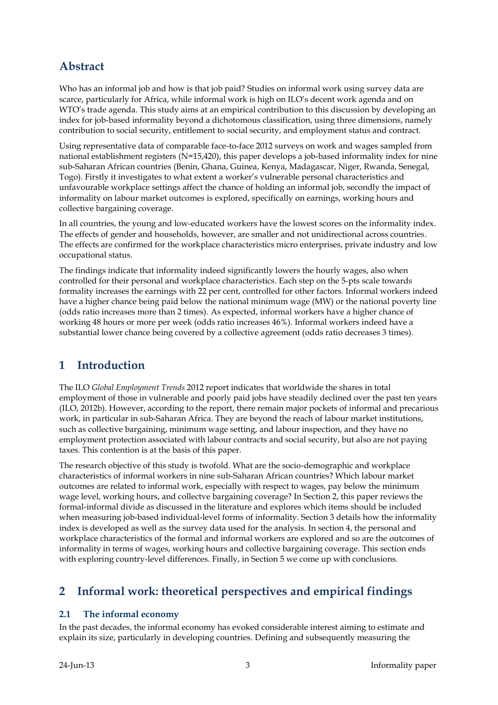# <span id="page-2-0"></span>**Abstract**

Who has an informal job and how is that job paid? Studies on informal work using survey data are scarce, particularly for Africa, while informal work is high on ILO's decent work agenda and on WTO's trade agenda. This study aims at an empirical contribution to this discussion by developing an index for job-based informality beyond a dichotomous classification, using three dimensions, namely contribution to social security, entitlement to social security, and employment status and contract.

Using representative data of comparable face-to-face 2012 surveys on work and wages sampled from national establishment registers (N=15,420), this paper develops a job-based informality index for nine sub-Saharan African countries (Benin, Ghana, Guinea, Kenya, Madagascar, Niger, Rwanda, Senegal, Togo). Firstly it investigates to what extent a worker's vulnerable personal characteristics and unfavourable workplace settings affect the chance of holding an informal job, secondly the impact of informality on labour market outcomes is explored, specifically on earnings, working hours and collective bargaining coverage.

In all countries, the young and low-educated workers have the lowest scores on the informality index. The effects of gender and households, however, are smaller and not unidirectional across countries. The effects are confirmed for the workplace characteristics micro enterprises, private industry and low occupational status.

The findings indicate that informality indeed significantly lowers the hourly wages, also when controlled for their personal and workplace characteristics. Each step on the 5-pts scale towards formality increases the earnings with 22 per cent, controlled for other factors. Informal workers indeed have a higher chance being paid below the national minimum wage (MW) or the national poverty line (odds ratio increases more than 2 times). As expected, informal workers have a higher chance of working 48 hours or more per week (odds ratio increases 46%). Informal workers indeed have a substantial lower chance being covered by a collective agreement (odds ratio decreases 3 times).

# <span id="page-2-1"></span>**1 Introduction**

The ILO *Global Employment Trends* 2012 report indicates that worldwide the shares in total employment of those in vulnerable and poorly paid jobs have steadily declined over the past ten years (ILO, 2012b). However, according to the report, there remain major pockets of informal and precarious work, in particular in sub-Saharan Africa. They are beyond the reach of labour market institutions, such as collective bargaining, minimum wage setting, and labour inspection, and they have no employment protection associated with labour contracts and social security, but also are not paying taxes. This contention is at the basis of this paper.

The research objective of this study is twofold. What are the socio-demographic and workplace characteristics of informal workers in nine sub-Saharan African countries? Which labour market outcomes are related to informal work, especially with respect to wages, pay below the minimum wage level, working hours, and collectve bargaining coverage? In Section 2, this paper reviews the formal-informal divide as discussed in the literature and explores which items should be included when measuring job-based individual-level forms of informality. Section 3 details how the informality index is developed as well as the survey data used for the analysis. In section 4, the personal and workplace characteristics of the formal and informal workers are explored and so are the outcomes of informality in terms of wages, working hours and collective bargaining coverage. This section ends with exploring country-level differences. Finally, in Section 5 we come up with conclusions.

# <span id="page-2-2"></span>**2 Informal work: theoretical perspectives and empirical findings**

## <span id="page-2-3"></span>**2.1 The informal economy**

In the past decades, the informal economy has evoked considerable interest aiming to estimate and explain its size, particularly in developing countries. Defining and subsequently measuring the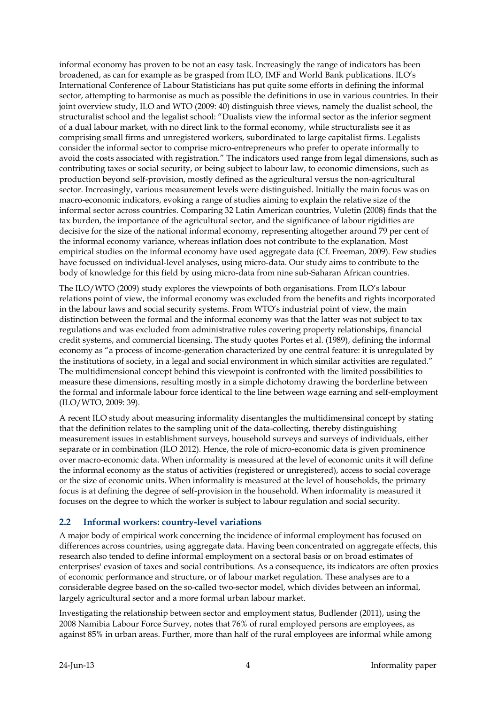informal economy has proven to be not an easy task. Increasingly the range of indicators has been broadened, as can for example as be grasped from ILO, IMF and World Bank publications. ILO's International Conference of Labour Statisticians has put quite some efforts in defining the informal sector, attempting to harmonise as much as possible the definitions in use in various countries. In their joint overview study, ILO and WTO (2009: 40) distinguish three views, namely the dualist school, the structuralist school and the legalist school: "Dualists view the informal sector as the inferior segment of a dual labour market, with no direct link to the formal economy, while structuralists see it as comprising small firms and unregistered workers, subordinated to large capitalist firms. Legalists consider the informal sector to comprise micro-entrepreneurs who prefer to operate informally to avoid the costs associated with registration." The indicators used range from legal dimensions, such as contributing taxes or social security, or being subject to labour law, to economic dimensions, such as production beyond self-provision, mostly defined as the agricultural versus the non-agricultural sector. Increasingly, various measurement levels were distinguished. Initially the main focus was on macro-economic indicators, evoking a range of studies aiming to explain the relative size of the informal sector across countries. Comparing 32 Latin American countries, Vuletin (2008) finds that the tax burden, the importance of the agricultural sector, and the significance of labour rigidities are decisive for the size of the national informal economy, representing altogether around 79 per cent of the informal economy variance, whereas inflation does not contribute to the explanation. Most empirical studies on the informal economy have used aggregate data (Cf. Freeman, 2009). Few studies have focussed on individual-level analyses, using micro-data. Our study aims to contribute to the body of knowledge for this field by using micro-data from nine sub-Saharan African countries.

The ILO/WTO (2009) study explores the viewpoints of both organisations. From ILO's labour relations point of view, the informal economy was excluded from the benefits and rights incorporated in the labour laws and social security systems. From WTO's industrial point of view, the main distinction between the formal and the informal economy was that the latter was not subject to tax regulations and was excluded from administrative rules covering property relationships, financial credit systems, and commercial licensing. The study quotes Portes et al. (1989), defining the informal economy as "a process of income-generation characterized by one central feature: it is unregulated by the institutions of society, in a legal and social environment in which similar activities are regulated." The multidimensional concept behind this viewpoint is confronted with the limited possibilities to measure these dimensions, resulting mostly in a simple dichotomy drawing the borderline between the formal and informale labour force identical to the line between wage earning and self-employment (ILO/WTO, 2009: 39).

A recent ILO study about measuring informality disentangles the multidimensinal concept by stating that the definition relates to the sampling unit of the data-collecting, thereby distinguishing measurement issues in establishment surveys, household surveys and surveys of individuals, either separate or in combination (ILO 2012). Hence, the role of micro-economic data is given prominence over macro-economic data. When informality is measured at the level of economic units it will define the informal economy as the status of activities (registered or unregistered), access to social coverage or the size of economic units. When informality is measured at the level of households, the primary focus is at defining the degree of self-provision in the household. When informality is measured it focuses on the degree to which the worker is subject to labour regulation and social security.

#### <span id="page-3-0"></span>**2.2 Informal workers: country-level variations**

A major body of empirical work concerning the incidence of informal employment has focused on differences across countries, using aggregate data. Having been concentrated on aggregate effects, this research also tended to define informal employment on a sectoral basis or on broad estimates of enterprises' evasion of taxes and social contributions. As a consequence, its indicators are often proxies of economic performance and structure, or of labour market regulation. These analyses are to a considerable degree based on the so-called two-sector model, which divides between an informal, largely agricultural sector and a more formal urban labour market.

Investigating the relationship between sector and employment status, Budlender (2011), using the 2008 Namibia Labour Force Survey, notes that 76% of rural employed persons are employees, as against 85% in urban areas. Further, more than half of the rural employees are informal while among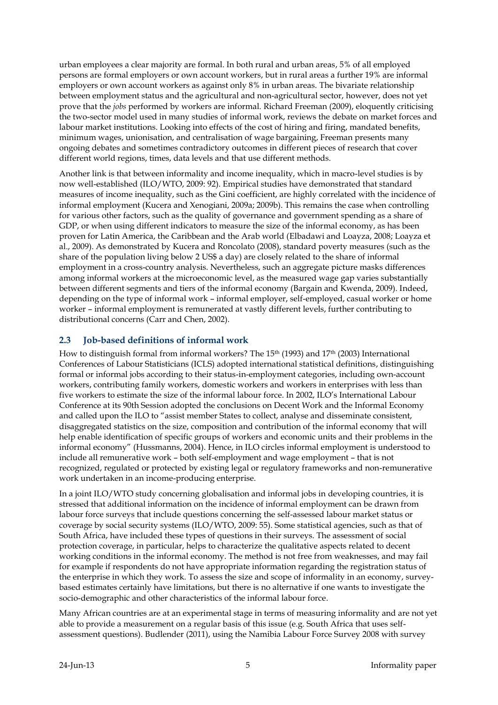urban employees a clear majority are formal. In both rural and urban areas, 5% of all employed persons are formal employers or own account workers, but in rural areas a further 19% are informal employers or own account workers as against only 8% in urban areas. The bivariate relationship between employment status and the agricultural and non-agricultural sector, however, does not yet prove that the *jobs* performed by workers are informal. Richard Freeman (2009), eloquently criticising the two-sector model used in many studies of informal work, reviews the debate on market forces and labour market institutions. Looking into effects of the cost of hiring and firing, mandated benefits, minimum wages, unionisation, and centralisation of wage bargaining, Freeman presents many ongoing debates and sometimes contradictory outcomes in different pieces of research that cover different world regions, times, data levels and that use different methods.

Another link is that between informality and income inequality, which in macro-level studies is by now well-established (ILO/WTO, 2009: 92). Empirical studies have demonstrated that standard measures of income inequality, such as the Gini coefficient, are highly correlated with the incidence of informal employment (Kucera and Xenogiani, 2009a; 2009b). This remains the case when controlling for various other factors, such as the quality of governance and government spending as a share of GDP, or when using different indicators to measure the size of the informal economy, as has been proven for Latin America, the Caribbean and the Arab world (Elbadawi and Loayza, 2008; Loayza et al., 2009). As demonstrated by Kucera and Roncolato (2008), standard poverty measures (such as the share of the population living below 2 US\$ a day) are closely related to the share of informal employment in a cross-country analysis. Nevertheless, such an aggregate picture masks differences among informal workers at the microeconomic level, as the measured wage gap varies substantially between different segments and tiers of the informal economy (Bargain and Kwenda, 2009). Indeed, depending on the type of informal work – informal employer, self-employed, casual worker or home worker – informal employment is remunerated at vastly different levels, further contributing to distributional concerns (Carr and Chen, 2002).

#### <span id="page-4-0"></span>**2.3 Job-based definitions of informal work**

How to distinguish formal from informal workers? The 15th (1993) and 17th (2003) International Conferences of Labour Statisticians (ICLS) adopted international statistical definitions, distinguishing formal or informal jobs according to their status-in-employment categories, including own-account workers, contributing family workers, domestic workers and workers in enterprises with less than five workers to estimate the size of the informal labour force. In 2002, ILO's International Labour Conference at its 90th Session adopted the conclusions on Decent Work and the Informal Economy and called upon the ILO to "assist member States to collect, analyse and disseminate consistent, disaggregated statistics on the size, composition and contribution of the informal economy that will help enable identification of specific groups of workers and economic units and their problems in the informal economy" (Hussmanns, 2004). Hence, in ILO circles informal employment is understood to include all remunerative work – both self-employment and wage employment – that is not recognized, regulated or protected by existing legal or regulatory frameworks and non-remunerative work undertaken in an income-producing enterprise.

In a joint ILO/WTO study concerning globalisation and informal jobs in developing countries, it is stressed that additional information on the incidence of informal employment can be drawn from labour force surveys that include questions concerning the self-assessed labour market status or coverage by social security systems (ILO/WTO, 2009: 55). Some statistical agencies, such as that of South Africa, have included these types of questions in their surveys. The assessment of social protection coverage, in particular, helps to characterize the qualitative aspects related to decent working conditions in the informal economy. The method is not free from weaknesses, and may fail for example if respondents do not have appropriate information regarding the registration status of the enterprise in which they work. To assess the size and scope of informality in an economy, surveybased estimates certainly have limitations, but there is no alternative if one wants to investigate the socio-demographic and other characteristics of the informal labour force.

Many African countries are at an experimental stage in terms of measuring informality and are not yet able to provide a measurement on a regular basis of this issue (e.g. South Africa that uses selfassessment questions). Budlender (2011), using the Namibia Labour Force Survey 2008 with survey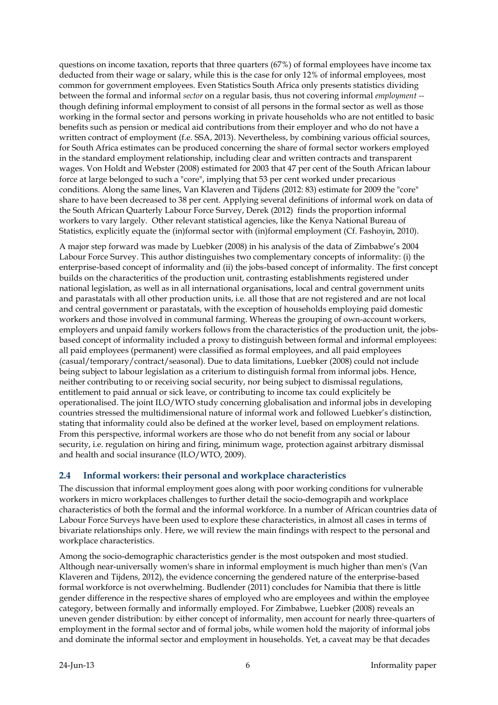questions on income taxation, reports that three quarters (67%) of formal employees have income tax deducted from their wage or salary, while this is the case for only 12% of informal employees, most common for government employees. Even Statistics South Africa only presents statistics dividing between the formal and informal *sector* on a regular basis, thus not covering informal *employment -* though defining informal employment to consist of all persons in the formal sector as well as those working in the formal sector and persons working in private households who are not entitled to basic benefits such as pension or medical aid contributions from their employer and who do not have a written contract of employment (f.e. SSA, 2013). Nevertheless, by combining various official sources, for South Africa estimates can be produced concerning the share of formal sector workers employed in the standard employment relationship, including clear and written contracts and transparent wages. Von Holdt and Webster (2008) estimated for 2003 that 47 per cent of the South African labour force at large belonged to such a "core", implying that 53 per cent worked under precarious conditions. Along the same lines, Van Klaveren and Tijdens (2012: 83) estimate for 2009 the "core" share to have been decreased to 38 per cent. Applying several definitions of informal work on data of the South African Quarterly Labour Force Survey, Derek (2012) finds the proportion informal workers to vary largely. Other relevant statistical agencies, like the Kenya National Bureau of Statistics, explicitly equate the (in)formal sector with (in)formal employment (Cf. Fashoyin, 2010).

A major step forward was made by Luebker (2008) in his analysis of the data of Zimbabwe's 2004 Labour Force Survey. This author distinguishes two complementary concepts of informality: (i) the enterprise-based concept of informality and (ii) the jobs-based concept of informality. The first concept builds on the characteritics of the production unit, contrasting establishments registered under national legislation, as well as in all international organisations, local and central government units and parastatals with all other production units, i.e. all those that are not registered and are not local and central government or parastatals, with the exception of households employing paid domestic workers and those involved in communal farming. Whereas the grouping of own-account workers, employers and unpaid family workers follows from the characteristics of the production unit, the jobsbased concept of informality included a proxy to distinguish between formal and informal employees: all paid employees (permanent) were classified as formal employees, and all paid employees (casual/temporary/contract/seasonal). Due to data limitations, Luebker (2008) could not include being subject to labour legislation as a criterium to distinguish formal from informal jobs. Hence, neither contributing to or receiving social security, nor being subject to dismissal regulations, entitlement to paid annual or sick leave, or contributing to income tax could explicitely be operationalised. The joint ILO/WTO study concerning globalisation and informal jobs in developing countries stressed the multidimensional nature of informal work and followed Luebker's distinction, stating that informality could also be defined at the worker level, based on employment relations. From this perspective, informal workers are those who do not benefit from any social or labour security, i.e. regulation on hiring and firing, minimum wage, protection against arbitrary dismissal and health and social insurance (ILO/WTO, 2009).

#### <span id="page-5-0"></span>**2.4 Informal workers: their personal and workplace characteristics**

The discussion that informal employment goes along with poor working conditions for vulnerable workers in micro workplaces challenges to further detail the socio-demograpih and workplace characteristics of both the formal and the informal workforce. In a number of African countries data of Labour Force Surveys have been used to explore these characteristics, in almost all cases in terms of bivariate relationships only. Here, we will review the main findings with respect to the personal and workplace characteristics.

Among the socio-demographic characteristics gender is the most outspoken and most studied. Although near-universally women's share in informal employment is much higher than men's (Van Klaveren and Tijdens, 2012), the evidence concerning the gendered nature of the enterprise-based formal workforce is not overwhelming. Budlender (2011) concludes for Namibia that there is little gender difference in the respective shares of employed who are employees and within the employee category, between formally and informally employed. For Zimbabwe, Luebker (2008) reveals an uneven gender distribution: by either concept of informality, men account for nearly three-quarters of employment in the formal sector and of formal jobs, while women hold the majority of informal jobs and dominate the informal sector and employment in households. Yet, a caveat may be that decades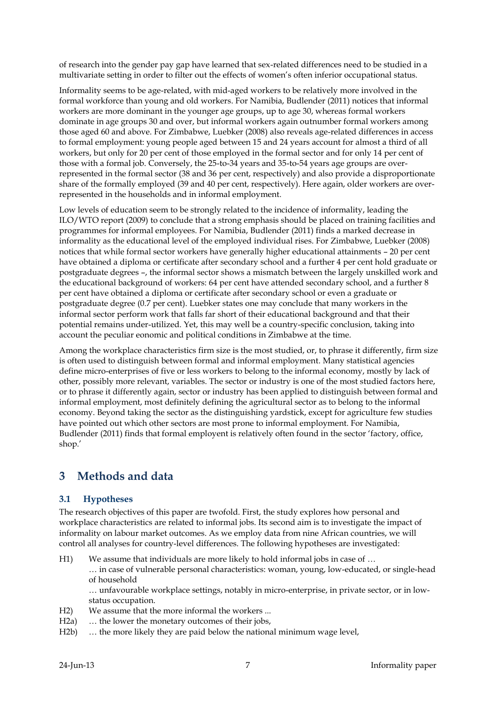of research into the gender pay gap have learned that sex-related differences need to be studied in a multivariate setting in order to filter out the effects of women's often inferior occupational status.

Informality seems to be age-related, with mid-aged workers to be relatively more involved in the formal workforce than young and old workers. For Namibia, Budlender (2011) notices that informal workers are more dominant in the younger age groups, up to age 30, whereas formal workers dominate in age groups 30 and over, but informal workers again outnumber formal workers among those aged 60 and above. For Zimbabwe, Luebker (2008) also reveals age-related differences in access to formal employment: young people aged between 15 and 24 years account for almost a third of all workers, but only for 20 per cent of those employed in the formal sector and for only 14 per cent of those with a formal job. Conversely, the 25-to-34 years and 35-to-54 years age groups are overrepresented in the formal sector (38 and 36 per cent, respectively) and also provide a disproportionate share of the formally employed (39 and 40 per cent, respectively). Here again, older workers are overrepresented in the households and in informal employment.

Low levels of education seem to be strongly related to the incidence of informality, leading the ILO/WTO report (2009) to conclude that a strong emphasis should be placed on training facilities and programmes for informal employees. For Namibia, Budlender (2011) finds a marked decrease in informality as the educational level of the employed individual rises. For Zimbabwe, Luebker (2008) notices that while formal sector workers have generally higher educational attainments – 20 per cent have obtained a diploma or certificate after secondary school and a further 4 per cent hold graduate or postgraduate degrees –, the informal sector shows a mismatch between the largely unskilled work and the educational background of workers: 64 per cent have attended secondary school, and a further 8 per cent have obtained a diploma or certificate after secondary school or even a graduate or postgraduate degree (0.7 per cent). Luebker states one may conclude that many workers in the informal sector perform work that falls far short of their educational background and that their potential remains under-utilized. Yet, this may well be a country-specific conclusion, taking into account the peculiar eonomic and political conditions in Zimbabwe at the time.

Among the workplace characteristics firm size is the most studied, or, to phrase it differently, firm size is often used to distinguish between formal and informal employment. Many statistical agencies define micro-enterprises of five or less workers to belong to the informal economy, mostly by lack of other, possibly more relevant, variables. The sector or industry is one of the most studied factors here, or to phrase it differently again, sector or industry has been applied to distinguish between formal and informal employment, most definitely defining the agricultural sector as to belong to the informal economy. Beyond taking the sector as the distinguishing yardstick, except for agriculture few studies have pointed out which other sectors are most prone to informal employment. For Namibia, Budlender (2011) finds that formal employent is relatively often found in the sector 'factory, office, shop.'

# <span id="page-6-0"></span>**3 Methods and data**

## <span id="page-6-1"></span>**3.1 Hypotheses**

The research objectives of this paper are twofold. First, the study explores how personal and workplace characteristics are related to informal jobs. Its second aim is to investigate the impact of informality on labour market outcomes. As we employ data from nine African countries, we will control all analyses for country-level differences. The following hypotheses are investigated:

H1) We assume that individuals are more likely to hold informal jobs in case of … … in case of vulnerable personal characteristics: woman, young, low-educated, or single-head of household

… unfavourable workplace settings, notably in micro-enterprise, in private sector, or in lowstatus occupation.

- H2) We assume that the more informal the workers ...
- H2a) … the lower the monetary outcomes of their jobs,
- H2b) … the more likely they are paid below the national minimum wage level,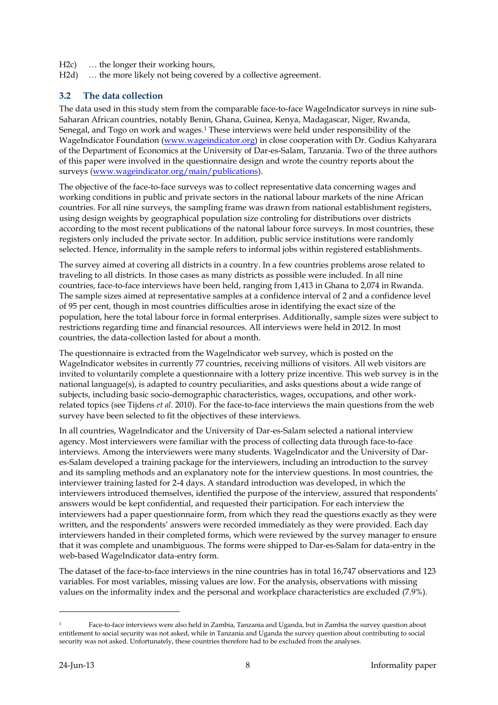- H2c) … the longer their working hours,
- H2d) ... the more likely not being covered by a collective agreement.

#### <span id="page-7-0"></span>**3.2 The data collection**

The data used in this study stem from the comparable face-to-face WageIndicator surveys in nine sub-Saharan African countries, notably Benin, Ghana, Guinea, Kenya, Madagascar, Niger, Rwanda, Senegal, and Togo on work and wages. <sup>1</sup> These interviews were held under responsibility of the WageIndicator Foundation [\(www.wageindicator.org\)](http://www.wageindicator.org/) in close cooperation with Dr. Godius Kahyarara of the Department of Economics at the University of Dar-es-Salam, Tanzania. Two of the three authors of this paper were involved in the questionnaire design and wrote the country reports about the surveys [\(www.wageindicator.org/main/publications\)](http://www.wageindicator.org/main/publications).

The objective of the face-to-face surveys was to collect representative data concerning wages and working conditions in public and private sectors in the national labour markets of the nine African countries. For all nine surveys, the sampling frame was drawn from national establishment registers, using design weights by geographical population size controling for distributions over districts according to the most recent publications of the natonal labour force surveys. In most countries, these registers only included the private sector. In addition, public service institutions were randomly selected. Hence, informality in the sample refers to informal jobs within registered establishments.

The survey aimed at covering all districts in a country. In a few countries problems arose related to traveling to all districts. In those cases as many districts as possible were included. In all nine countries, face-to-face interviews have been held, ranging from 1,413 in Ghana to 2,074 in Rwanda. The sample sizes aimed at representative samples at a confidence interval of 2 and a confidence level of 95 per cent, though in most countries difficulties arose in identifying the exact size of the population, here the total labour force in formal enterprises. Additionally, sample sizes were subject to restrictions regarding time and financial resources. All interviews were held in 2012. In most countries, the data-collection lasted for about a month.

The questionnaire is extracted from the WageIndicator web survey, which is posted on the WageIndicator websites in currently 77 countries, receiving millions of visitors. All web visitors are invited to voluntarily complete a questionnaire with a lottery prize incentive. This web survey is in the national language(s), is adapted to country peculiarities, and asks questions about a wide range of subjects, including basic socio-demographic characteristics, wages, occupations, and other workrelated topics (see Tijdens *et al*. 2010). For the face-to-face interviews the main questions from the web survey have been selected to fit the objectives of these interviews.

In all countries, WageIndicator and the University of Dar-es-Salam selected a national interview agency. Most interviewers were familiar with the process of collecting data through face-to-face interviews. Among the interviewers were many students. WageIndicator and the University of Dares-Salam developed a training package for the interviewers, including an introduction to the survey and its sampling methods and an explanatory note for the interview questions. In most countries, the interviewer training lasted for 2-4 days. A standard introduction was developed, in which the interviewers introduced themselves, identified the purpose of the interview, assured that respondents' answers would be kept confidential, and requested their participation. For each interview the interviewers had a paper questionnaire form, from which they read the questions exactly as they were written, and the respondents' answers were recorded immediately as they were provided. Each day interviewers handed in their completed forms, which were reviewed by the survey manager to ensure that it was complete and unambiguous. The forms were shipped to Dar-es-Salam for data-entry in the web-based WageIndicator data-entry form.

The dataset of the face-to-face interviews in the nine countries has in total 16,747 observations and 123 variables. For most variables, missing values are low. For the analysis, observations with missing values on the informality index and the personal and workplace characteristics are excluded (7.9%).

-

<sup>1</sup> Face-to-face interviews were also held in Zambia, Tanzania and Uganda, but in Zambia the survey question about entitlement to social security was not asked, while in Tanzania and Uganda the survey question about contributing to social security was not asked. Unfortunately, these countries therefore had to be excluded from the analyses.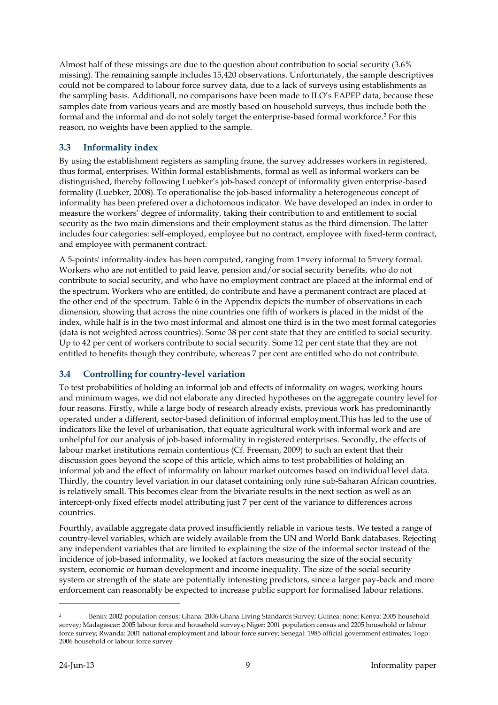Almost half of these missings are due to the question about contribution to social security (3.6% missing). The remaining sample includes 15,420 observations. Unfortunately, the sample descriptives could not be compared to labour force survey data, due to a lack of surveys using establishments as the sampling basis. Additionall, no comparisons have been made to ILO's EAPEP data, because these samples date from various years and are mostly based on household surveys, thus include both the formal and the informal and do not solely target the enterprise-based formal workforce. <sup>2</sup> For this reason, no weights have been applied to the sample.

### <span id="page-8-0"></span>**3.3 Informality index**

By using the establishment registers as sampling frame, the survey addresses workers in registered, thus formal, enterprises. Within formal establishments, formal as well as informal workers can be distinguished, thereby following Luebker's job-based concept of informality given enterprise-based formality (Luebker, 2008). To operationalise the job-based informality a heterogeneous concept of informality has been prefered over a dichotomous indicator. We have developed an index in order to measure the workers' degree of informality, taking their contribution to and entitlement to social security as the two main dimensions and their employment status as the third dimension. The latter includes four categories: self-employed, employee but no contract, employee with fixed-term contract, and employee with permanent contract.

A 5-points' informality-index has been computed, ranging from 1=very informal to 5=very formal. Workers who are not entitled to paid leave, pension and/or social security benefits, who do not contribute to social security, and who have no employment contract are placed at the informal end of the spectrum. Workers who are entitled, do contribute and have a permanent contract are placed at the other end of the spectrum. Table 6 in the Appendix depicts the number of observations in each dimension, showing that across the nine countries one fifth of workers is placed in the midst of the index, while half is in the two most informal and almost one third is in the two most formal categories (data is not weighted across countries). Some 38 per cent state that they are entitled to social security. Up to 42 per cent of workers contribute to social security. Some 12 per cent state that they are not entitled to benefits though they contribute, whereas 7 per cent are entitled who do not contribute.

## <span id="page-8-1"></span>**3.4 Controlling for country-level variation**

To test probabilities of holding an informal job and effects of informality on wages, working hours and minimum wages, we did not elaborate any directed hypotheses on the aggregate country level for four reasons. Firstly, while a large body of research already exists, previous work has predominantly operated under a different, sector-based definition of informal employment.This has led to the use of indicators like the level of urbanisation, that equate agricultural work with informal work and are unhelpful for our analysis of job-based informality in registered enterprises. Secondly, the effects of labour market institutions remain contentious (Cf. Freeman, 2009) to such an extent that their discussion goes beyond the scope of this article, which aims to test probabilities of holding an informal job and the effect of informality on labour market outcomes based on individual level data. Thirdly, the country level variation in our dataset containing only nine sub-Saharan African countries, is relatively small. This becomes clear from the bivariate results in the next section as well as an intercept-only fixed effects model attributing just 7 per cent of the variance to differences across countries.

Fourthly, available aggregate data proved insufficiently reliable in various tests. We tested a range of country-level variables, which are widely available from the UN and World Bank databases. Rejecting any independent variables that are limited to explaining the size of the informal sector instead of the incidence of job-based informality, we looked at factors measuring the size of the social security system, economic or human development and income inequality. The size of the social security system or strength of the state are potentially interesting predictors, since a larger pay-back and more enforcement can reasonably be expected to increase public support for formalised labour relations.

-

<sup>2</sup> Benin: 2002 population census; Ghana: 2006 Ghana Living Standards Survey; Guinea: none; Kenya: 2005 household survey; Madagascar: 2005 labour force and household surveys; Niger: 2001 population census and 2205 household or labour force survey; Rwanda: 2001 national employment and labour force survey; Senegal: 1985 official government estimates; Togo: 2006 household or labour force survey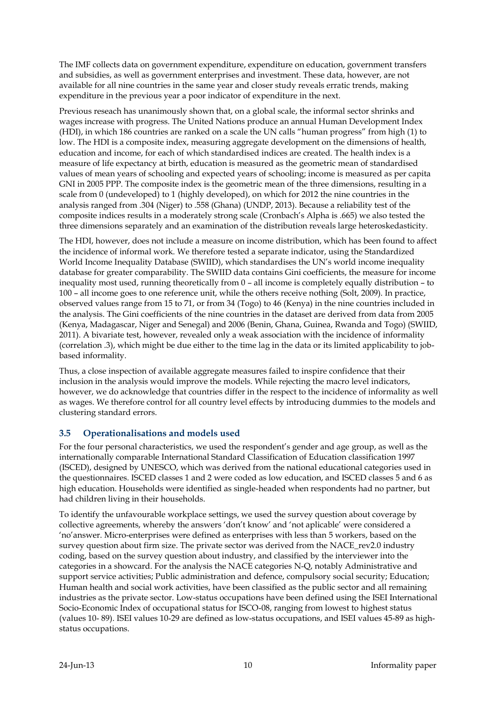The IMF collects data on government expenditure, expenditure on education, government transfers and subsidies, as well as government enterprises and investment. These data, however, are not available for all nine countries in the same year and closer study reveals erratic trends, making expenditure in the previous year a poor indicator of expenditure in the next.

Previous reseach has unanimously shown that, on a global scale, the informal sector shrinks and wages increase with progress. The United Nations produce an annual Human Development Index (HDI), in which 186 countries are ranked on a scale the UN calls "human progress" from high (1) to low. The HDI is a composite index, measuring aggregate development on the dimensions of health, education and income, for each of which standardised indices are created. The health index is a measure of life expectancy at birth, education is measured as the geometric mean of standardised values of mean years of schooling and expected years of schooling; income is measured as per capita GNI in 2005 PPP. The composite index is the geometric mean of the three dimensions, resulting in a scale from 0 (undeveloped) to 1 (highly developed), on which for 2012 the nine countries in the analysis ranged from .304 (Niger) to .558 (Ghana) (UNDP, 2013). Because a reliability test of the composite indices results in a moderately strong scale (Cronbach's Alpha is .665) we also tested the three dimensions separately and an examination of the distribution reveals large heteroskedasticity.

The HDI, however, does not include a measure on income distribution, which has been found to affect the incidence of informal work. We therefore tested a separate indicator, using the Standardized World Income Inequality Database (SWIID), which standardises the UN's world income inequality database for greater comparability. The SWIID data contains Gini coefficients, the measure for income inequality most used, running theoretically from 0 – all income is completely equally distribution – to 100 – all income goes to one reference unit, while the others receive nothing (Solt, 2009). In practice, observed values range from 15 to 71, or from 34 (Togo) to 46 (Kenya) in the nine countries included in the analysis. The Gini coefficients of the nine countries in the dataset are derived from data from 2005 (Kenya, Madagascar, Niger and Senegal) and 2006 (Benin, Ghana, Guinea, Rwanda and Togo) (SWIID, 2011). A bivariate test, however, revealed only a weak association with the incidence of informality (correlation .3), which might be due either to the time lag in the data or its limited applicability to jobbased informality.

Thus, a close inspection of available aggregate measures failed to inspire confidence that their inclusion in the analysis would improve the models. While rejecting the macro level indicators, however, we do acknowledge that countries differ in the respect to the incidence of informality as well as wages. We therefore control for all country level effects by introducing dummies to the models and clustering standard errors.

#### <span id="page-9-0"></span>**3.5 Operationalisations and models used**

For the four personal characteristics, we used the respondent's gender and age group, as well as the internationally comparable International Standard Classification of Education classification 1997 (ISCED), designed by UNESCO, which was derived from the national educational categories used in the questionnaires. ISCED classes 1 and 2 were coded as low education, and ISCED classes 5 and 6 as high education. Households were identified as single-headed when respondents had no partner, but had children living in their households.

To identify the unfavourable workplace settings, we used the survey question about coverage by collective agreements, whereby the answers 'don't know' and 'not aplicable' were considered a 'no'answer. Micro-enterprises were defined as enterprises with less than 5 workers, based on the survey question about firm size. The private sector was derived from the NACE\_rev2.0 industry coding, based on the survey question about industry, and classified by the interviewer into the categories in a showcard. For the analysis the NACE categories N-Q, notably Administrative and support service activities; Public administration and defence, compulsory social security; Education; Human health and social work activities, have been classified as the public sector and all remaining industries as the private sector. Low-status occupations have been defined using the ISEI International Socio-Economic Index of occupational status for ISCO-08, ranging from lowest to highest status (values 10- 89). ISEI values 10-29 are defined as low-status occupations, and ISEI values 45-89 as highstatus occupations.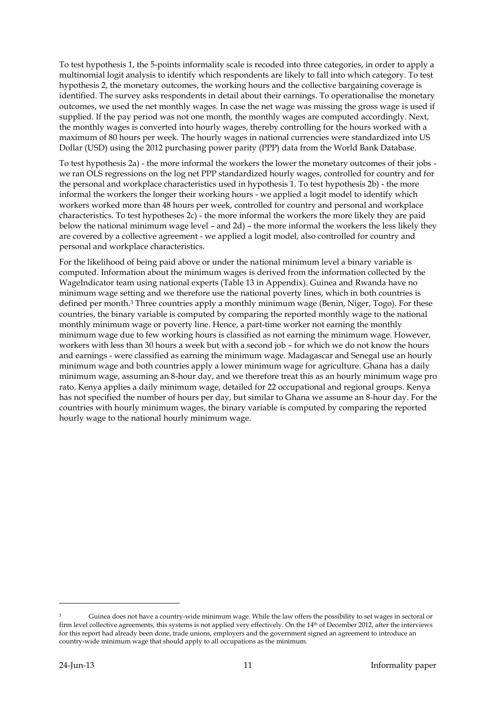To test hypothesis 1, the 5-points informality scale is recoded into three categories, in order to apply a multinomial logit analysis to identify which respondents are likely to fall into which category. To test hypothesis 2, the monetary outcomes, the working hours and the collective bargaining coverage is identified. The survey asks respondents in detail about their earnings. To operationalise the monetary outcomes, we used the net monthly wages. In case the net wage was missing the gross wage is used if supplied. If the pay period was not one month, the monthly wages are computed accordingly. Next, the monthly wages is converted into hourly wages, thereby controlling for the hours worked with a maximum of 80 hours per week. The hourly wages in national currencies were standardized into US Dollar (USD) using the 2012 purchasing power parity (PPP) data from the World Bank Database.

To test hypothesis 2a) - the more informal the workers the lower the monetary outcomes of their jobs we ran OLS regressions on the log net PPP standardized hourly wages, controlled for country and for the personal and workplace characteristics used in hypothesis 1. To test hypothesis 2b) - the more informal the workers the longer their working hours - we applied a logit model to identify which workers worked more than 48 hours per week, controlled for country and personal and workplace characteristics. To test hypotheses 2c) - the more informal the workers the more likely they are paid below the national minimum wage level – and 2d) – the more informal the workers the less likely they are covered by a collective agreement - we applied a logit model, also controlled for country and personal and workplace characteristics.

For the likelihood of being paid above or under the national minimum level a binary variable is computed. Information about the minimum wages is derived from the information collected by the WageIndicator team using national experts (Table 13 in Appendix). Guinea and Rwanda have no minimum wage setting and we therefore use the national poverty lines, which in both countries is defined per month. <sup>3</sup> Three countries apply a monthly minimum wage (Benin, Niger, Togo). For these countries, the binary variable is computed by comparing the reported monthly wage to the national monthly minimum wage or poverty line. Hence, a part-time worker not earning the monthly minimum wage due to few working hours is classified as not earning the minimum wage. However, workers with less than 30 hours a week but with a second job – for which we do not know the hours and earnings - were classified as earning the minimum wage. Madagascar and Senegal use an hourly minimum wage and both countries apply a lower minimum wage for agriculture. Ghana has a daily minimum wage, assuming an 8-hour day, and we therefore treat this as an hourly minimum wage pro rato. Kenya applies a daily minimum wage, detailed for 22 occupational and regional groups. Kenya has not specified the number of hours per day, but similar to Ghana we assume an 8-hour day. For the countries with hourly minimum wages, the binary variable is computed by comparing the reported hourly wage to the national hourly minimum wage.

-

<sup>3</sup> Guinea does not have a country-wide minimum wage. While the law offers the possibility to set wages in sectoral or firm level collective agreements, this systems is not applied very effectively. On the 14<sup>th</sup> of December 2012, after the interviews for this report had already been done, trade unions, employers and the government signed an agreement to introduce an country-wide minimum wage that should apply to all occupations as the minimum.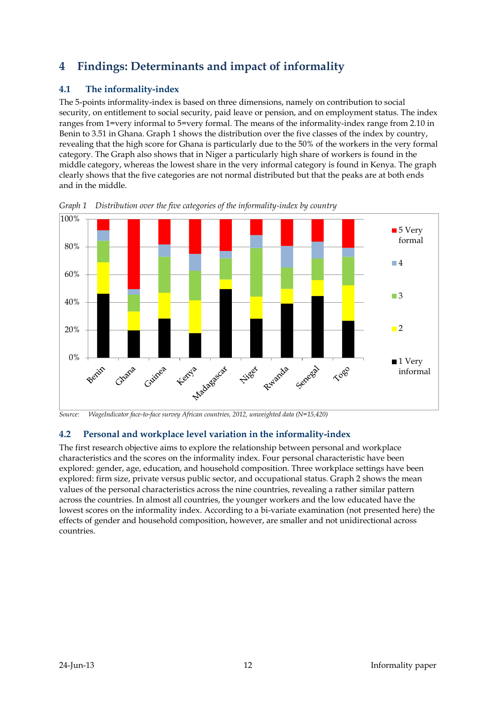# <span id="page-11-0"></span>**4 Findings: Determinants and impact of informality**

## <span id="page-11-1"></span>**4.1 The informality-index**

The 5-points informality-index is based on three dimensions, namely on contribution to social security, on entitlement to social security, paid leave or pension, and on employment status. The index ranges from 1=very informal to 5=very formal. The means of the informality-index range from 2.10 in Benin to 3.51 in Ghana. Graph 1 shows the distribution over the five classes of the index by country, revealing that the high score for Ghana is particularly due to the 50% of the workers in the very formal category. The Graph also shows that in Niger a particularly high share of workers is found in the middle category, whereas the lowest share in the very informal category is found in Kenya. The graph clearly shows that the five categories are not normal distributed but that the peaks are at both ends and in the middle.



<span id="page-11-3"></span>*Graph 1 Distribution over the five categories of the informality-index by country*

## <span id="page-11-2"></span>**4.2 Personal and workplace level variation in the informality-index**

The first research objective aims to explore the relationship between personal and workplace characteristics and the scores on the informality index. Four personal characteristic have been explored: gender, age, education, and household composition. Three workplace settings have been explored: firm size, private versus public sector, and occupational status. Graph 2 shows the mean values of the personal characteristics across the nine countries, revealing a rather similar pattern across the countries. In almost all countries, the younger workers and the low educated have the lowest scores on the informality index. According to a bi-variate examination (not presented here) the effects of gender and household composition, however, are smaller and not unidirectional across countries.

*Source: WageIndicator face-to-face survey African countries, 2012, unweighted data (N=15,420)*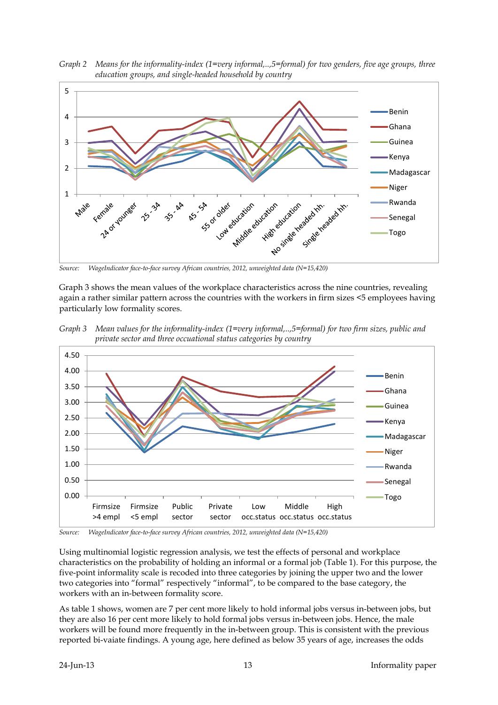<span id="page-12-0"></span>



*Source: WageIndicator face-to-face survey African countries, 2012, unweighted data (N=15,420)*

Graph 3 shows the mean values of the workplace characteristics across the nine countries, revealing again a rather similar pattern across the countries with the workers in firm sizes <5 employees having particularly low formality scores.

<span id="page-12-1"></span>*Graph 3 Mean values for the informality-index (1=very informal,..,5=formal) for two firm sizes, public and private sector and three occuational status categories by country* 



*Source: WageIndicator face-to-face survey African countries, 2012, unweighted data (N=15,420)*

Using multinomial logistic regression analysis, we test the effects of personal and workplace characteristics on the probability of holding an informal or a formal job (Table 1). For this purpose, the five-point informality scale is recoded into three categories by joining the upper two and the lower two categories into "formal" respectively "informal", to be compared to the base category, the workers with an in-between formality score.

As table 1 shows, women are 7 per cent more likely to hold informal jobs versus in-between jobs, but they are also 16 per cent more likely to hold formal jobs versus in-between jobs. Hence, the male workers will be found more frequently in the in-between group. This is consistent with the previous reported bi-vaiate findings. A young age, here defined as below 35 years of age, increases the odds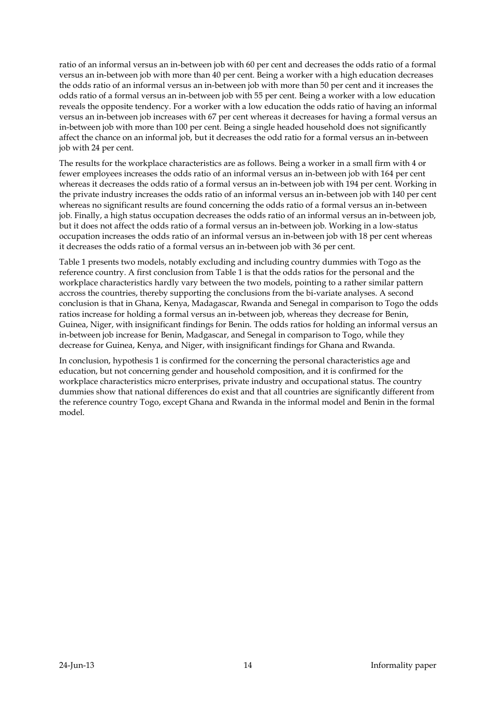ratio of an informal versus an in-between job with 60 per cent and decreases the odds ratio of a formal versus an in-between job with more than 40 per cent. Being a worker with a high education decreases the odds ratio of an informal versus an in-between job with more than 50 per cent and it increases the odds ratio of a formal versus an in-between job with 55 per cent. Being a worker with a low education reveals the opposite tendency. For a worker with a low education the odds ratio of having an informal versus an in-between job increases with 67 per cent whereas it decreases for having a formal versus an in-between job with more than 100 per cent. Being a single headed household does not significantly affect the chance on an informal job, but it decreases the odd ratio for a formal versus an in-between job with 24 per cent.

The results for the workplace characteristics are as follows. Being a worker in a small firm with 4 or fewer employees increases the odds ratio of an informal versus an in-between job with 164 per cent whereas it decreases the odds ratio of a formal versus an in-between job with 194 per cent. Working in the private industry increases the odds ratio of an informal versus an in-between job with 140 per cent whereas no significant results are found concerning the odds ratio of a formal versus an in-between job. Finally, a high status occupation decreases the odds ratio of an informal versus an in-between job, but it does not affect the odds ratio of a formal versus an in-between job. Working in a low-status occupation increases the odds ratio of an informal versus an in-between job with 18 per cent whereas it decreases the odds ratio of a formal versus an in-between job with 36 per cent.

Table 1 presents two models, notably excluding and including country dummies with Togo as the reference country. A first conclusion from Table 1 is that the odds ratios for the personal and the workplace characteristics hardly vary between the two models, pointing to a rather similar pattern accross the countries, thereby supporting the conclusions from the bi-variate analyses. A second conclusion is that in Ghana, Kenya, Madagascar, Rwanda and Senegal in comparison to Togo the odds ratios increase for holding a formal versus an in-between job, whereas they decrease for Benin, Guinea, Niger, with insignificant findings for Benin. The odds ratios for holding an informal versus an in-between job increase for Benin, Madgascar, and Senegal in comparison to Togo, while they decrease for Guinea, Kenya, and Niger, with insignificant findings for Ghana and Rwanda.

In conclusion, hypothesis 1 is confirmed for the concerning the personal characteristics age and education, but not concerning gender and household composition, and it is confirmed for the workplace characteristics micro enterprises, private industry and occupational status. The country dummies show that national differences do exist and that all countries are significantly different from the reference country Togo, except Ghana and Rwanda in the informal model and Benin in the formal model.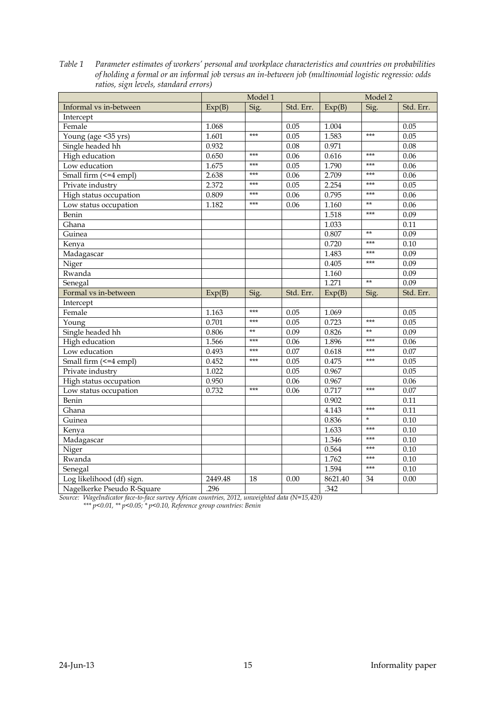|                            | Model 1 |       | Model 2   |         |         |           |
|----------------------------|---------|-------|-----------|---------|---------|-----------|
| Informal vs in-between     | Exp(B)  | Sig.  | Std. Err. | Exp(B)  | Sig.    | Std. Err. |
| Intercept                  |         |       |           |         |         |           |
| Female                     | 1.068   |       | 0.05      | 1.004   |         | 0.05      |
| Young (age <35 yrs)        | 1.601   | $***$ | 0.05      | 1.583   | $***$   | 0.05      |
| Single headed hh           | 0.932   |       | 0.08      | 0.971   |         | 0.08      |
| High education             | 0.650   | $***$ | 0.06      | 0.616   | ***     | 0.06      |
| Low education              | 1.675   | $***$ | 0.05      | 1.790   | $***$   | 0.06      |
| Small firm (<=4 empl)      | 2.638   | $***$ | 0.06      | 2.709   | $***$   | 0.06      |
| Private industry           | 2.372   | $***$ | 0.05      | 2.254   | $***$   | 0.05      |
| High status occupation     | 0.809   | ***   | 0.06      | 0.795   | $***$   | 0.06      |
| Low status occupation      | 1.182   | $***$ | 0.06      | 1.160   | $**$    | 0.06      |
| Benin                      |         |       |           | 1.518   | $***$   | 0.09      |
| Ghana                      |         |       |           | 1.033   |         | 0.11      |
| Guinea                     |         |       |           | 0.807   | $**$    | 0.09      |
| Kenya                      |         |       |           | 0.720   | ***     | 0.10      |
| Madagascar                 |         |       |           | 1.483   | ***     | 0.09      |
| Niger                      |         |       |           | 0.405   | $***$   | 0.09      |
| Rwanda                     |         |       |           | 1.160   |         | 0.09      |
| Senegal                    |         |       |           | 1.271   | $**$    | 0.09      |
| Formal vs in-between       | Exp(B)  | Sig.  | Std. Err. | Exp(B)  | Sig.    | Std. Err. |
| Intercept                  |         |       |           |         |         |           |
| Female                     | 1.163   | $***$ | 0.05      | 1.069   |         | 0.05      |
| Young                      | 0.701   | $***$ | 0.05      | 0.723   | $***$   | 0.05      |
| Single headed hh           | 0.806   | $**$  | 0.09      | 0.826   | $**$    | 0.09      |
| High education             | 1.566   | $***$ | 0.06      | 1.896   | $***$   | 0.06      |
| Low education              | 0.493   | $***$ | 0.07      | 0.618   | $***$   | 0.07      |
| Small firm (<=4 empl)      | 0.452   | $***$ | 0.05      | 0.475   | $***$   | 0.05      |
| Private industry           | 1.022   |       | 0.05      | 0.967   |         | 0.05      |
| High status occupation     | 0.950   |       | 0.06      | 0.967   |         | 0.06      |
| Low status occupation      | 0.732   | $***$ | 0.06      | 0.717   | $***$   | 0.07      |
| Benin                      |         |       |           | 0.902   |         | 0.11      |
| Ghana                      |         |       |           | 4.143   | $***$   | 0.11      |
| Guinea                     |         |       |           | 0.836   | $\star$ | 0.10      |
| Kenya                      |         |       |           | 1.633   | $***$   | 0.10      |
| Madagascar                 |         |       |           | 1.346   | $***$   | 0.10      |
| Niger                      |         |       |           | 0.564   | $***$   | 0.10      |
| Rwanda                     |         |       |           | 1.762   | ***     | 0.10      |
| Senegal                    |         |       |           | 1.594   | $***$   | 0.10      |
| Log likelihood (df) sign.  | 2449.48 | 18    | 0.00      | 8621.40 | 34      | 0.00      |
| Nagelkerke Pseudo R-Square | .296    |       |           | .342    |         |           |

<span id="page-14-0"></span>*Table 1 Parameter estimates of workers' personal and workplace characteristics and countries on probabilities of holding a formal or an informal job versus an in-between job (multinomial logistic regressio: odds ratios, sign levels, standard errors)*

*Source: WageIndicator face-to-face survey African countries, 2012, unweighted data (N=15,420)*

*\*\*\* p<0.01, \*\* p<0.05; \* p<0.10, Reference group countries: Benin*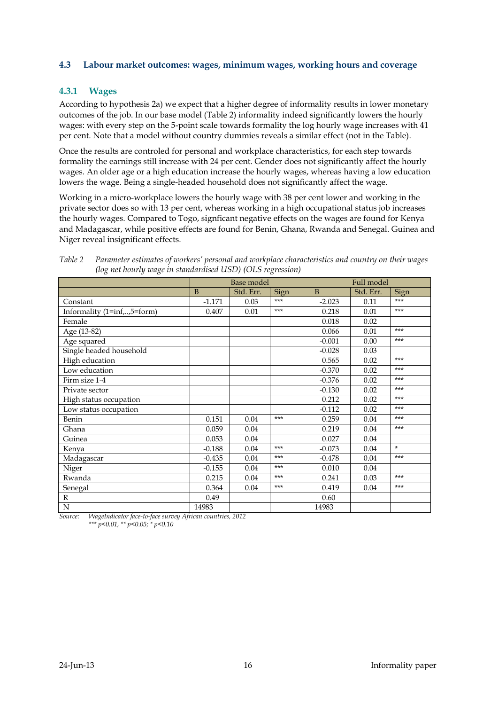#### <span id="page-15-0"></span>**4.3 Labour market outcomes: wages, minimum wages, working hours and coverage**

#### **4.3.1 Wages**

According to hypothesis 2a) we expect that a higher degree of informality results in lower monetary outcomes of the job. In our base model (Table 2) informality indeed significantly lowers the hourly wages: with every step on the 5-point scale towards formality the log hourly wage increases with 41 per cent. Note that a model without country dummies reveals a similar effect (not in the Table).

Once the results are controled for personal and workplace characteristics, for each step towards formality the earnings still increase with 24 per cent. Gender does not significantly affect the hourly wages. An older age or a high education increase the hourly wages, whereas having a low education lowers the wage. Being a single-headed household does not significantly affect the wage.

Working in a micro-workplace lowers the hourly wage with 38 per cent lower and working in the private sector does so with 13 per cent, whereas working in a high occupational status job increases the hourly wages. Compared to Togo, signficant negative effects on the wages are found for Kenya and Madagascar, while positive effects are found for Benin, Ghana, Rwanda and Senegal. Guinea and Niger reveal insignificant effects.

|                             |          | <b>Base model</b> |       | Full model   |           |        |  |
|-----------------------------|----------|-------------------|-------|--------------|-----------|--------|--|
|                             | B        | Std. Err.         | Sign  | <sub>B</sub> | Std. Err. | Sign   |  |
| Constant                    | $-1.171$ | 0.03              | ***   | $-2.023$     | 0.11      | ***    |  |
| Informality (1=inf,,5=form) | 0.407    | 0.01              | ***   | 0.218        | 0.01      | $***$  |  |
| Female                      |          |                   |       | 0.018        | 0.02      |        |  |
| Age (13-82)                 |          |                   |       | 0.066        | 0.01      | ***    |  |
| Age squared                 |          |                   |       | $-0.001$     | 0.00      | ***    |  |
| Single headed household     |          |                   |       | $-0.028$     | 0.03      |        |  |
| High education              |          |                   |       | 0.565        | 0.02      | ***    |  |
| Low education               |          |                   |       | $-0.370$     | 0.02      | ***    |  |
| Firm size 1-4               |          |                   |       | $-0.376$     | 0.02      | ***    |  |
| Private sector              |          |                   |       | $-0.130$     | 0.02      | $***$  |  |
| High status occupation      |          |                   |       | 0.212        | 0.02      | ***    |  |
| Low status occupation       |          |                   |       | $-0.112$     | 0.02      | ***    |  |
| Benin                       | 0.151    | 0.04              | ***   | 0.259        | 0.04      | ***    |  |
| Ghana                       | 0.059    | 0.04              |       | 0.219        | 0.04      | ***    |  |
| Guinea                      | 0.053    | 0.04              |       | 0.027        | 0.04      |        |  |
| Kenya                       | $-0.188$ | 0.04              | $***$ | $-0.073$     | 0.04      | $\ast$ |  |
| Madagascar                  | $-0.435$ | 0.04              | ***   | $-0.478$     | 0.04      | ***    |  |
| Niger                       | $-0.155$ | 0.04              | ***   | 0.010        | 0.04      |        |  |
| Rwanda                      | 0.215    | 0.04              | ***   | 0.241        | 0.03      | ***    |  |
| Senegal                     | 0.364    | 0.04              | ***   | 0.419        | 0.04      | $***$  |  |
| $\mathbb{R}$                | 0.49     |                   |       | 0.60         |           |        |  |
| N                           | 14983    |                   |       | 14983        |           |        |  |

<span id="page-15-1"></span>*Table 2 Parameter estimates of workers' personal and workplace characteristics and country on their wages (log net hourly wage in standardised USD) (OLS regression)*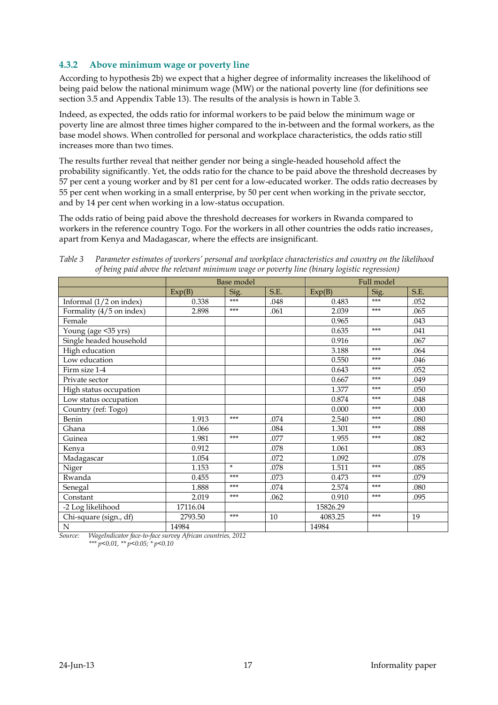#### **4.3.2 Above minimum wage or poverty line**

According to hypothesis 2b) we expect that a higher degree of informality increases the likelihood of being paid below the national minimum wage (MW) or the national poverty line (for definitions see section 3.5 and Appendix Table 13). The results of the analysis is hown in Table 3.

Indeed, as expected, the odds ratio for informal workers to be paid below the minimum wage or poverty line are almost three times higher compared to the in-between and the formal workers, as the base model shows. When controlled for personal and workplace characteristics, the odds ratio still increases more than two times.

The results further reveal that neither gender nor being a single-headed household affect the probability significantly. Yet, the odds ratio for the chance to be paid above the threshold decreases by 57 per cent a young worker and by 81 per cent for a low-educated worker. The odds ratio decreases by 55 per cent when working in a small enterprise, by 50 per cent when working in the private secctor, and by 14 per cent when working in a low-status occupation.

The odds ratio of being paid above the threshold decreases for workers in Rwanda compared to workers in the reference country Togo. For the workers in all other countries the odds ratio increases, apart from Kenya and Madagascar, where the effects are insignificant.

<span id="page-16-0"></span>*Table 3 Parameter estimates of workers' personal and workplace characteristics and country on the likelihood of being paid above the relevant minimum wage or poverty line (binary logistic regression)*

|                           |          | Base model |      | Full model |       |      |
|---------------------------|----------|------------|------|------------|-------|------|
|                           | Exp(B)   | Sig.       | S.E. | Exp(B)     | Sig.  | S.E. |
| Informal $(1/2$ on index) | 0.338    | $***$      | .048 | 0.483      | ***   | .052 |
| Formality (4/5 on index)  | 2.898    | $***$      | .061 | 2.039      | $***$ | .065 |
| Female                    |          |            |      | 0.965      |       | .043 |
| Young (age < 35 yrs)      |          |            |      | 0.635      | $***$ | .041 |
| Single headed household   |          |            |      | 0.916      |       | .067 |
| High education            |          |            |      | 3.188      | ***   | .064 |
| Low education             |          |            |      | 0.550      | ***   | .046 |
| Firm size 1-4             |          |            |      | 0.643      | ***   | .052 |
| Private sector            |          |            |      | 0.667      | $***$ | .049 |
| High status occupation    |          |            |      | 1.377      | ***   | .050 |
| Low status occupation     |          |            |      | 0.874      | $***$ | .048 |
| Country (ref: Togo)       |          |            |      | 0.000      | $***$ | .000 |
| Benin                     | 1.913    | $***$      | .074 | 2.540      | ***   | .080 |
| Ghana                     | 1.066    |            | .084 | 1.301      | ***   | .088 |
| Guinea                    | 1.981    | $***$      | .077 | 1.955      | $***$ | .082 |
| Kenya                     | 0.912    |            | .078 | 1.061      |       | .083 |
| Madagascar                | 1.054    |            | .072 | 1.092      |       | .078 |
| Niger                     | 1.153    | $\star$    | .078 | 1.511      | ***   | .085 |
| Rwanda                    | 0.455    | $***$      | .073 | 0.473      | ***   | .079 |
| Senegal                   | 1.888    | $***$      | .074 | 2.574      | $***$ | .080 |
| Constant                  | 2.019    | $***$      | .062 | 0.910      | $***$ | .095 |
| -2 Log likelihood         | 17116.04 |            |      | 15826.29   |       |      |
| Chi-square (sign., df)    | 2793.50  | $***$      | 10   | 4083.25    | ***   | 19   |
| N                         | 14984    |            |      | 14984      |       |      |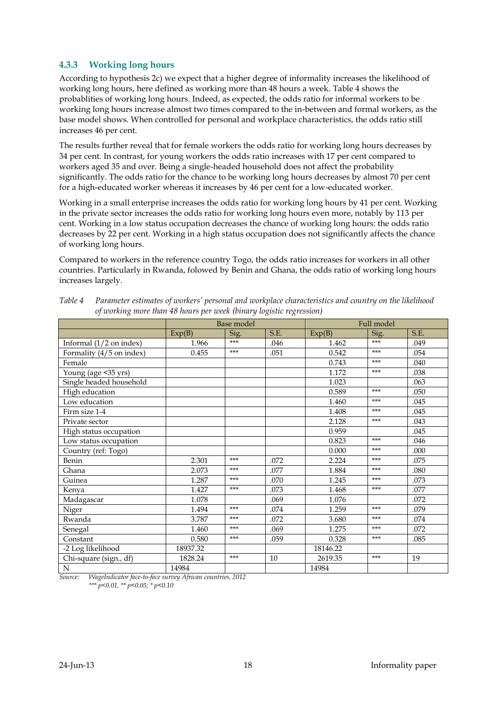#### **4.3.3 Working long hours**

According to hypothesis 2c) we expect that a higher degree of informality increases the likelihood of working long hours, here defined as working more than 48 hours a week. Table 4 shows the probablities of working long hours. Indeed, as expected, the odds ratio for informal workers to be working long hours increase almost two times compared to the in-between and formal workers, as the base model shows. When controlled for personal and workplace characteristics, the odds ratio still increases 46 per cent.

The results further reveal that for female workers the odds ratio for working long hours decreases by 34 per cent. In contrast, for young workers the odds ratio increases with 17 per cent compared to workers aged 35 and over. Being a single-headed household does not affect the probability significantly. The odds ratio for the chance to be working long hours decreases by almost 70 per cent for a high-educated worker whereas it increases by 46 per cent for a low-educated worker.

Working in a small enterprise increases the odds ratio for working long hours by 41 per cent. Working in the private sector increases the odds ratio for working long hours even more, notably by 113 per cent. Working in a low status occupation decreases the chance of working long hours: the odds ratio decreases by 22 per cent. Working in a high status occupation does not significantly affects the chance of working long hours.

Compared to workers in the reference country Togo, the odds ratio increases for workers in all other countries. Particularly in Rwanda, folowed by Benin and Ghana, the odds ratio of working long hours increases largely.

|                              | Base model |                             | Full model |          |       |      |
|------------------------------|------------|-----------------------------|------------|----------|-------|------|
|                              | Exp(B)     | Sig.                        | S.E.       | Exp(B)   | Sig.  | S.E. |
| Informal $(1/2$ on index)    | 1.966      | $***$                       | .046       | 1.462    | $***$ | .049 |
| Formality (4/5 on index)     | 0.455      | $***$                       | .051       | 0.542    | $***$ | .054 |
| Female                       |            |                             |            | 0.743    | $***$ | .040 |
| Young (age < 35 yrs)         |            |                             |            | 1.172    | $***$ | .038 |
| Single headed household      |            |                             |            | 1.023    |       | .063 |
| High education               |            |                             |            | 0.589    | $***$ | .050 |
| Low education                |            |                             |            | 1.460    | $***$ | .045 |
| Firm size 1-4                |            |                             |            | 1.408    | $***$ | .045 |
| Private sector               |            |                             |            | 2.128    | $***$ | .043 |
| High status occupation       |            |                             |            | 0.959    |       | .045 |
| Low status occupation        |            |                             |            | 0.823    | $***$ | .046 |
| Country (ref: Togo)          |            |                             |            | 0.000    | $***$ | .000 |
| Benin                        | 2.301      | $***$                       | .072       | 2.224    | ***   | .075 |
| Ghana                        | 2.073      | $***$                       | .077       | 1.884    | $***$ | .080 |
| Guinea                       | 1.287      | $***$                       | .070       | 1.245    | $***$ | .073 |
| Kenya                        | 1.427      | $***$                       | .073       | 1.468    | $***$ | .077 |
| Madagascar                   | 1.078      |                             | .069       | 1.076    |       | .072 |
| Niger                        | 1.494      | $***$                       | .074       | 1.259    | $***$ | .079 |
| Rwanda                       | 3.787      | $***$                       | .072       | 3.680    | $***$ | .074 |
| Senegal                      | 1.460      | $***$                       | .069       | 1.275    | $***$ | .072 |
| Constant                     | 0.580      | $***$                       | .059       | 0.328    | $***$ | .085 |
| -2 Log likelihood            | 18937.32   |                             |            | 18146.22 |       |      |
| Chi-square (sign., df)       | 1828.24    | $***$                       | 10         | 2619.35  | $***$ | 19   |
| $\mathbf N$<br>$\frac{1}{2}$ | 14984      | $\sim$ $\sim$ $\sim$ $\sim$ |            | 14984    |       |      |

<span id="page-17-0"></span>*Table 4 Parameter estimates of workers' personal and workplace characteristics and country on the likelihood of working more than 48 hours per week (binary logistic regression)*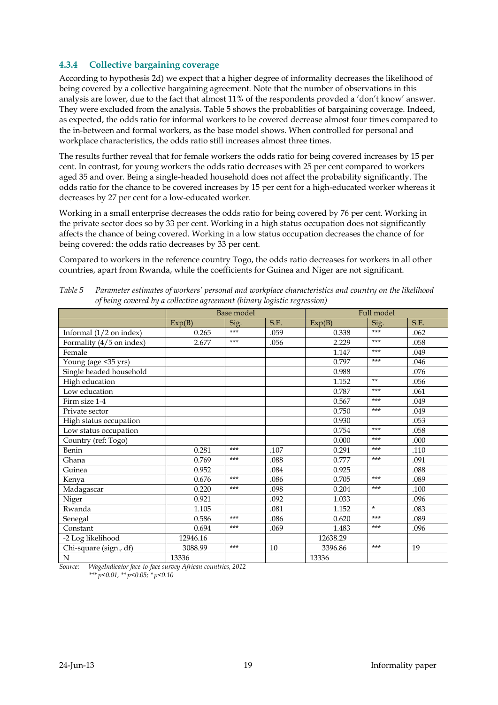### **4.3.4 Collective bargaining coverage**

According to hypothesis 2d) we expect that a higher degree of informality decreases the likelihood of being covered by a collective bargaining agreement. Note that the number of observations in this analysis are lower, due to the fact that almost 11% of the respondents provded a 'don't know' answer. They were excluded from the analysis. Table 5 shows the probablities of bargaining coverage. Indeed, as expected, the odds ratio for informal workers to be covered decrease almost four times compared to the in-between and formal workers, as the base model shows. When controlled for personal and workplace characteristics, the odds ratio still increases almost three times.

The results further reveal that for female workers the odds ratio for being covered increases by 15 per cent. In contrast, for young workers the odds ratio decreases with 25 per cent compared to workers aged 35 and over. Being a single-headed household does not affect the probability significantly. The odds ratio for the chance to be covered increases by 15 per cent for a high-educated worker whereas it decreases by 27 per cent for a low-educated worker.

Working in a small enterprise decreases the odds ratio for being covered by 76 per cent. Working in the private sector does so by 33 per cent. Working in a high status occupation does not significantly affects the chance of being covered. Working in a low status occupation decreases the chance of for being covered: the odds ratio decreases by 33 per cent.

Compared to workers in the reference country Togo, the odds ratio decreases for workers in all other countries, apart from Rwanda, while the coefficients for Guinea and Niger are not significant.

|                                  | Base model |       |      | Full model |        |      |
|----------------------------------|------------|-------|------|------------|--------|------|
|                                  | Exp(B)     | Sig.  | S.E. | Exp(B)     | Sig.   | S.E. |
| Informal $(1/2$ on index)        | 0.265      | ***   | .059 | 0.338      | ***    | .062 |
| Formality $(4\sqrt{5}$ on index) | 2.677      | ***   | .056 | 2.229      | $***$  | .058 |
| Female                           |            |       |      | 1.147      | ***    | .049 |
| Young (age <35 yrs)              |            |       |      | 0.797      | ***    | .046 |
| Single headed household          |            |       |      | 0.988      |        | .076 |
| High education                   |            |       |      | 1.152      | $**$   | .056 |
| Low education                    |            |       |      | 0.787      | $***$  | .061 |
| Firm size 1-4                    |            |       |      | 0.567      | $***$  | .049 |
| Private sector                   |            |       |      | 0.750      | $***$  | .049 |
| High status occupation           |            |       |      | 0.930      |        | .053 |
| Low status occupation            |            |       |      | 0.754      | ***    | .058 |
| Country (ref: Togo)              |            |       |      | 0.000      | $***$  | .000 |
| Benin                            | 0.281      | $***$ | .107 | 0.291      | $***$  | .110 |
| Ghana                            | 0.769      | $***$ | .088 | 0.777      | $***$  | .091 |
| Guinea                           | 0.952      |       | .084 | 0.925      |        | .088 |
| Kenya                            | 0.676      | ***   | .086 | 0.705      | $***$  | .089 |
| Madagascar                       | 0.220      | ***   | .098 | 0.204      | $***$  | .100 |
| Niger                            | 0.921      |       | .092 | 1.033      |        | .096 |
| Rwanda                           | 1.105      |       | .081 | 1.152      | $\ast$ | .083 |
| Senegal                          | 0.586      | ***   | .086 | 0.620      | ***    | .089 |
| Constant                         | 0.694      | ***   | .069 | 1.483      | $***$  | .096 |
| -2 Log likelihood                | 12946.16   |       |      | 12638.29   |        |      |
| Chi-square (sign., df)           | 3088.99    | ***   | 10   | 3396.86    | $***$  | 19   |
| N                                | 13336      |       |      | 13336      |        |      |

<span id="page-18-0"></span>*Table 5 Parameter estimates of workers' personal and workplace characteristics and country on the likelihood of being covered by a collective agreement (binary logistic regression)*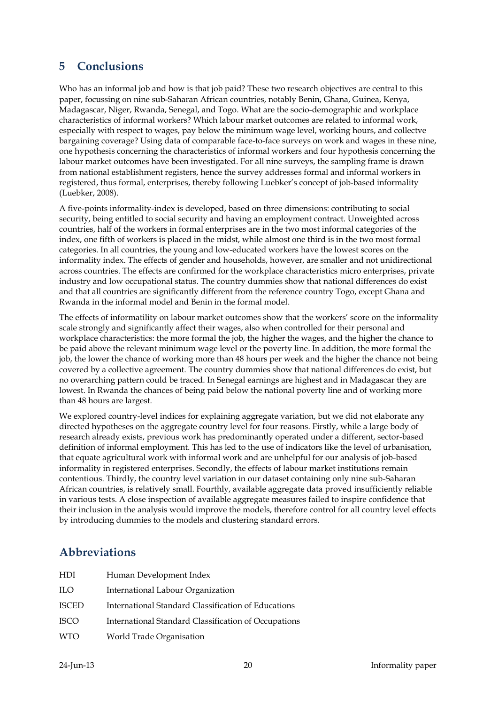# <span id="page-19-0"></span>**5 Conclusions**

Who has an informal job and how is that job paid? These two research objectives are central to this paper, focussing on nine sub-Saharan African countries, notably Benin, Ghana, Guinea, Kenya, Madagascar, Niger, Rwanda, Senegal, and Togo. What are the socio-demographic and workplace characteristics of informal workers? Which labour market outcomes are related to informal work, especially with respect to wages, pay below the minimum wage level, working hours, and collectve bargaining coverage? Using data of comparable face-to-face surveys on work and wages in these nine, one hypothesis concerning the characteristics of informal workers and four hypothesis concerning the labour market outcomes have been investigated. For all nine surveys, the sampling frame is drawn from national establishment registers, hence the survey addresses formal and informal workers in registered, thus formal, enterprises, thereby following Luebker's concept of job-based informality (Luebker, 2008).

A five-points informality-index is developed, based on three dimensions: contributing to social security, being entitled to social security and having an employment contract. Unweighted across countries, half of the workers in formal enterprises are in the two most informal categories of the index, one fifth of workers is placed in the midst, while almost one third is in the two most formal categories. In all countries, the young and low-educated workers have the lowest scores on the informality index. The effects of gender and households, however, are smaller and not unidirectional across countries. The effects are confirmed for the workplace characteristics micro enterprises, private industry and low occupational status. The country dummies show that national differences do exist and that all countries are significantly different from the reference country Togo, except Ghana and Rwanda in the informal model and Benin in the formal model.

The effects of informatility on labour market outcomes show that the workers' score on the informality scale strongly and significantly affect their wages, also when controlled for their personal and workplace characteristics: the more formal the job, the higher the wages, and the higher the chance to be paid above the relevant minimum wage level or the poverty line. In addition, the more formal the job, the lower the chance of working more than 48 hours per week and the higher the chance not being covered by a collective agreement. The country dummies show that national differences do exist, but no overarching pattern could be traced. In Senegal earnings are highest and in Madagascar they are lowest. In Rwanda the chances of being paid below the national poverty line and of working more than 48 hours are largest.

We explored country-level indices for explaining aggregate variation, but we did not elaborate any directed hypotheses on the aggregate country level for four reasons. Firstly, while a large body of research already exists, previous work has predominantly operated under a different, sector-based definition of informal employment. This has led to the use of indicators like the level of urbanisation, that equate agricultural work with informal work and are unhelpful for our analysis of job-based informality in registered enterprises. Secondly, the effects of labour market institutions remain contentious. Thirdly, the country level variation in our dataset containing only nine sub-Saharan African countries, is relatively small. Fourthly, available aggregate data proved insufficiently reliable in various tests. A close inspection of available aggregate measures failed to inspire confidence that their inclusion in the analysis would improve the models, therefore control for all country level effects by introducing dummies to the models and clustering standard errors.

# <span id="page-19-1"></span>**Abbreviations**

| HDI   | Human Development Index                              |
|-------|------------------------------------------------------|
| ILO   | International Labour Organization                    |
| ISCED | International Standard Classification of Educations  |
| ISCO  | International Standard Classification of Occupations |
| WTO   | World Trade Organisation                             |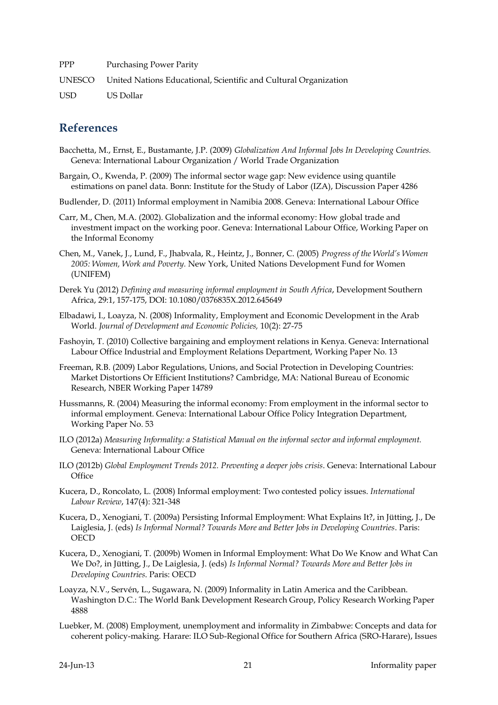PPP Purchasing Power Parity UNESCO United Nations Educational, Scientific and Cultural Organization USD US Dollar

# <span id="page-20-0"></span>**References**

- Bacchetta, M., Ernst, E., Bustamante, J.P. (2009) *Globalization And Informal Jobs In Developing Countries.*  Geneva: International Labour Organization / World Trade Organization
- Bargain, O., Kwenda, P. (2009) The informal sector wage gap: New evidence using quantile estimations on panel data. Bonn: Institute for the Study of Labor (IZA), Discussion Paper 4286
- Budlender, D. (2011) Informal employment in Namibia 2008. Geneva: International Labour Office
- Carr, M., Chen, M.A. (2002). Globalization and the informal economy: How global trade and investment impact on the working poor. Geneva: International Labour Office, Working Paper on the Informal Economy
- Chen, M., Vanek, J., Lund, F., Jhabvala, R., Heintz, J., Bonner, C. (2005) *Progress of the World's Women 2005: Women, Work and Poverty.* New York, United Nations Development Fund for Women (UNIFEM)
- Derek Yu (2012) *Defining and measuring informal employment in South Africa*, Development Southern Africa, 29:1, 157-175, DOI: 10.1080/0376835X.2012.645649
- Elbadawi, I., Loayza, N. (2008) Informality, Employment and Economic Development in the Arab World. *Journal of Development and Economic Policies,* 10(2): 27-75
- Fashoyin, T. (2010) Collective bargaining and employment relations in Kenya. Geneva: International Labour Office Industrial and Employment Relations Department, Working Paper No. 13
- Freeman, R.B. (2009) Labor Regulations, Unions, and Social Protection in Developing Countries: Market Distortions Or Efficient Institutions? Cambridge, MA: National Bureau of Economic Research, NBER Working Paper 14789
- Hussmanns, R. (2004) Measuring the informal economy: From employment in the informal sector to informal employment. Geneva: International Labour Office Policy Integration Department, Working Paper No. 53
- ILO (2012a) *Measuring Informality: a Statistical Manual on the informal sector and informal employment.* Geneva: International Labour Office
- ILO (2012b) *Global Employment Trends 2012. Preventing a deeper jobs crisis*. Geneva: International Labour **Office**
- Kucera, D., Roncolato, L. (2008) Informal employment: Two contested policy issues. *International Labour Review*, 147(4): 321-348
- Kucera, D., Xenogiani, T. (2009a) Persisting Informal Employment: What Explains It?, in Jütting, J., De Laiglesia, J. (eds) *Is Informal Normal? Towards More and Better Jobs in Developing Countries*. Paris: **OECD**
- Kucera, D., Xenogiani, T. (2009b) Women in Informal Employment: What Do We Know and What Can We Do?, in Jütting, J., De Laiglesia, J. (eds) *Is Informal Normal? Towards More and Better Jobs in Developing Countries*. Paris: OECD
- Loayza, N.V., Servén, L., Sugawara, N. (2009) Informality in Latin America and the Caribbean. Washington D.C.: The World Bank Development Research Group, Policy Research Working Paper 4888
- Luebker, M. (2008) Employment, unemployment and informality in Zimbabwe: Concepts and data for coherent policy-making. Harare: ILO Sub-Regional Office for Southern Africa (SRO-Harare), Issues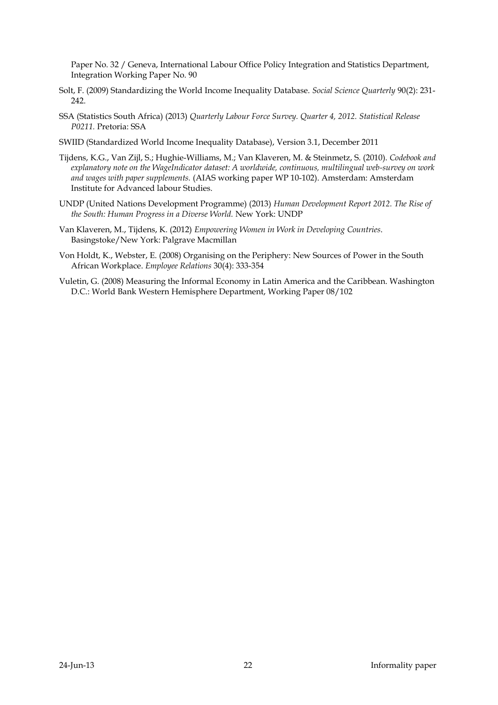Paper No. 32 / Geneva, International Labour Office Policy Integration and Statistics Department, Integration Working Paper No. 90

- Solt, F. (2009) Standardizing the World Income Inequality Database. *Social Science Quarterly* 90(2): 231- 242.
- SSA (Statistics South Africa) (2013) *Quarterly Labour Force Survey. Quarter 4, 2012. Statistical Release P0211.* Pretoria: SSA
- SWIID (Standardized World Income Inequality Database), Version 3.1, December 2011
- Tijdens, K.G., Van Zijl, S.; Hughie-Williams, M.; Van Klaveren, M. & Steinmetz, S. (2010). *Codebook and explanatory note on the WageIndicator dataset: A worldwide, continuous, multilingual web-survey on work and wages with paper supplements.* (AIAS working paper WP 10-102). Amsterdam: Amsterdam Institute for Advanced labour Studies.
- UNDP (United Nations Development Programme) (2013) *Human Development Report 2012. The Rise of the South: Human Progress in a Diverse World.* New York: UNDP
- Van Klaveren, M., Tijdens, K. (2012) *Empowering Women in Work in Developing Countries*. Basingstoke/New York: Palgrave Macmillan
- Von Holdt, K., Webster, E. (2008) Organising on the Periphery: New Sources of Power in the South African Workplace. *Employee Relations* 30(4): 333-354
- Vuletin, G. (2008) Measuring the Informal Economy in Latin America and the Caribbean. Washington D.C.: World Bank Western Hemisphere Department, Working Paper 08/102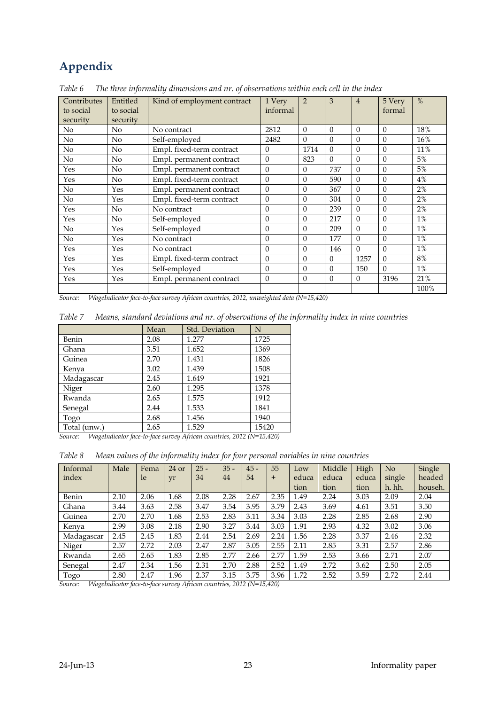# <span id="page-22-0"></span>**Appendix**

| Contributes<br>to social | Entitled<br>to social | Kind of employment contract | 1 Very<br>informal | $\overline{2}$ | 3        | $\overline{4}$ | 5 Very<br>formal | $\%$  |
|--------------------------|-----------------------|-----------------------------|--------------------|----------------|----------|----------------|------------------|-------|
| security                 | security              |                             |                    |                |          |                |                  |       |
| N <sub>o</sub>           | No                    | No contract                 | 2812               | $\Omega$       | $\Omega$ | $\Omega$       | $\Omega$         | 18%   |
| No                       | No                    | Self-employed               | 2482               | $\theta$       | $\theta$ | $\Omega$       | $\Omega$         | 16%   |
| N <sub>o</sub>           | No                    | Empl. fixed-term contract   | $\theta$           | 1714           | $\Omega$ | $\Omega$       | $\Omega$         | 11%   |
| N <sub>o</sub>           | No                    | Empl. permanent contract    | $\theta$           | 823            | $\Omega$ | $\Omega$       | $\Omega$         | 5%    |
| Yes                      | No                    | Empl. permanent contract    | $\theta$           | $\theta$       | 737      | $\Omega$       | $\Omega$         | 5%    |
| Yes                      | No                    | Empl. fixed-term contract   | $\theta$           | $\theta$       | 590      | $\Omega$       | $\theta$         | 4%    |
| No                       | Yes                   | Empl. permanent contract    | $\boldsymbol{0}$   | $\theta$       | 367      | $\Omega$       | $\Omega$         | 2%    |
| No                       | Yes                   | Empl. fixed-term contract   | $\overline{0}$     | $\theta$       | 304      | $\Omega$       | $\Omega$         | 2%    |
| Yes                      | No                    | No contract                 | $\mathbf{0}$       | $\theta$       | 239      | $\Omega$       | $\Omega$         | 2%    |
| Yes                      | No                    | Self-employed               | $\mathbf{0}$       | $\theta$       | 217      | $\Omega$       | $\theta$         | $1\%$ |
| No.                      | Yes                   | Self-employed               | $\mathbf{0}$       | $\theta$       | 209      | $\Omega$       | $\Omega$         | $1\%$ |
| N <sub>o</sub>           | Yes                   | No contract                 | $\mathbf{0}$       | $\theta$       | 177      | $\Omega$       | $\Omega$         | $1\%$ |
| Yes                      | Yes                   | No contract                 | $\theta$           | $\theta$       | 146      | $\Omega$       | $\Omega$         | $1\%$ |
| Yes                      | Yes                   | Empl. fixed-term contract   | $\theta$           | $\theta$       | $\Omega$ | 1257           | $\Omega$         | 8%    |
| Yes                      | Yes                   | Self-employed               | $\mathbf{0}$       | $\theta$       | $\Omega$ | 150            | $\Omega$         | $1\%$ |
| Yes                      | Yes                   | Empl. permanent contract    | $\theta$           | $\theta$       | $\Omega$ | $\theta$       | 3196             | 21%   |
|                          |                       |                             |                    |                |          |                |                  | 100%  |

<span id="page-22-1"></span>*Table 6 The three informality dimensions and nr. of observations within each cell in the index*

*Source: WageIndicator face-to-face survey African countries, 2012, unweighted data (N=15,420)*

<span id="page-22-2"></span>

| Table 7 Means, standard deviations and nr. of observations of the informality index in nine countries |  |  |
|-------------------------------------------------------------------------------------------------------|--|--|
|                                                                                                       |  |  |

|              | Mean | Std. Deviation | N     |
|--------------|------|----------------|-------|
| Benin        | 2.08 | 1.277          | 1725  |
| Ghana        | 3.51 | 1.652          | 1369  |
| Guinea       | 2.70 | 1.431          | 1826  |
| Kenya        | 3.02 | 1.439          | 1508  |
| Madagascar   | 2.45 | 1.649          | 1921  |
| Niger        | 2.60 | 1.295          | 1378  |
| Rwanda       | 2.65 | 1.575          | 1912  |
| Senegal      | 2.44 | 1.533          | 1841  |
| Togo         | 2.68 | 1.456          | 1940  |
| Total (unw.) | 2.65 | 1.529          | 15420 |

*Source: WageIndicator face-to-face survey African countries, 2012 (N=15,420)*

<span id="page-22-3"></span>*Table 8 Mean values of the informality index for four personal variables in nine countries* 

| Informal           | Male | Fema               | $24$ or          | $25 -$ | $35 -$ | $45 -$                                | 55   | Low   | Middle | High  | No     | Single  |
|--------------------|------|--------------------|------------------|--------|--------|---------------------------------------|------|-------|--------|-------|--------|---------|
| index              |      | le                 | yr               | 34     | 44     | 54                                    | $+$  | educa | educa  | educa | single | headed  |
|                    |      |                    |                  |        |        |                                       |      | tion  | tion   | tion  | h. hh. | househ. |
| Benin              | 2.10 | 2.06               | 1.68             | 2.08   | 2.28   | 2.67                                  | 2.35 | 1.49  | 2.24   | 3.03  | 2.09   | 2.04    |
| Ghana              | 3.44 | 3.63               | 2.58             | 3.47   | 3.54   | 3.95                                  | 3.79 | 2.43  | 3.69   | 4.61  | 3.51   | 3.50    |
| Guinea             | 2.70 | 2.70               | 1.68             | 2.53   | 2.83   | 3.11                                  | 3.34 | 3.03  | 2.28   | 2.85  | 2.68   | 2.90    |
| Kenya              | 2.99 | 3.08               | 2.18             | 2.90   | 3.27   | 3.44                                  | 3.03 | 1.91  | 2.93   | 4.32  | 3.02   | 3.06    |
| Madagascar         | 2.45 | 2.45               | 1.83             | 2.44   | 2.54   | 2.69                                  | 2.24 | 1.56  | 2.28   | 3.37  | 2.46   | 2.32    |
| Niger              | 2.57 | 2.72               | 2.03             | 2.47   | 2.87   | 3.05                                  | 2.55 | 2.11  | 2.85   | 3.31  | 2.57   | 2.86    |
| Rwanda             | 2.65 | 2.65               | 1.83             | 2.85   | 2.77   | 2.66                                  | 2.77 | 1.59  | 2.53   | 3.66  | 2.71   | 2.07    |
| Senegal            | 2.47 | 2.34               | 1.56             | 2.31   | 2.70   | 2.88                                  | 2.52 | 1.49  | 2.72   | 3.62  | 2.50   | 2.05    |
| Togo<br><b>TAT</b> | 2.80 | 2.47<br>$\epsilon$ | 1.96<br>$\cdots$ | 2.37   | 3.15   | 3.75<br>$0.040 \pm 0.7$ $45 \pm 0.01$ | 3.96 | 1.72  | 2.52   | 3.59  | 2.72   | 2.44    |

*Source: WageIndicator face-to-face survey African countries, 2012 (N=15,420)*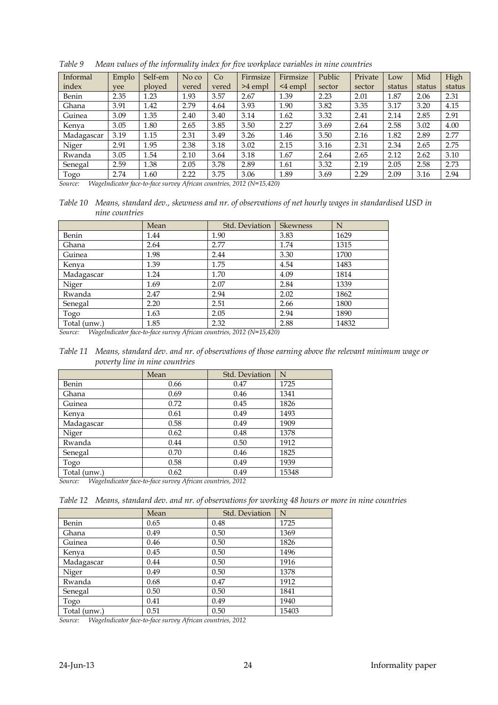| Informal   | Emplo | Self-em | No co | Co    | Firmsize  | Firmsize      | Public | Private | Low    | Mid    | High   |
|------------|-------|---------|-------|-------|-----------|---------------|--------|---------|--------|--------|--------|
| index      | vee   | ployed  | vered | vered | $>4$ empl | $\leq$ 4 empl | sector | sector  | status | status | status |
| Benin      | 2.35  | 1.23    | 1.93  | 3.57  | 2.67      | 1.39          | 2.23   | 2.01    | 1.87   | 2.06   | 2.31   |
| Ghana      | 3.91  | 1.42    | 2.79  | 4.64  | 3.93      | 1.90          | 3.82   | 3.35    | 3.17   | 3.20   | 4.15   |
| Guinea     | 3.09  | 1.35    | 2.40  | 3.40  | 3.14      | 1.62          | 3.32   | 2.41    | 2.14   | 2.85   | 2.91   |
| Kenya      | 3.05  | 1.80    | 2.65  | 3.85  | 3.50      | 2.27          | 3.69   | 2.64    | 2.58   | 3.02   | 4.00   |
| Madagascar | 3.19  | 1.15    | 2.31  | 3.49  | 3.26      | 1.46          | 3.50   | 2.16    | 1.82   | 2.89   | 2.77   |
| Niger      | 2.91  | 1.95    | 2.38  | 3.18  | 3.02      | 2.15          | 3.16   | 2.31    | 2.34   | 2.65   | 2.75   |
| Rwanda     | 3.05  | 1.54    | 2.10  | 3.64  | 3.18      | 1.67          | 2.64   | 2.65    | 2.12   | 2.62   | 3.10   |
| Senegal    | 2.59  | 1.38    | 2.05  | 3.78  | 2.89      | 1.61          | 3.32   | 2.19    | 2.05   | 2.58   | 2.73   |
| Togo       | 2.74  | 1.60    | 2.22  | 3.75  | 3.06      | 1.89          | 3.69   | 2.29    | 2.09   | 3.16   | 2.94   |

<span id="page-23-0"></span>*Table 9 Mean values of the informality index for five workplace variables in nine countries* 

*Source: WageIndicator face-to-face survey African countries, 2012 (N=15,420)*

<span id="page-23-1"></span>*Table 10 Means, standard dev., skewness and nr. of observations of net hourly wages in standardised USD in nine countries*

|              | Mean | Std. Deviation | <b>Skewness</b> | N     |
|--------------|------|----------------|-----------------|-------|
| Benin        | 1.44 | 1.90           | 3.83            | 1629  |
| Ghana        | 2.64 | 2.77           | 1.74            | 1315  |
| Guinea       | 1.98 | 2.44           | 3.30            | 1700  |
| Kenya        | 1.39 | 1.75           | 4.54            | 1483  |
| Madagascar   | 1.24 | 1.70           | 4.09            | 1814  |
| Niger        | 1.69 | 2.07           | 2.84            | 1339  |
| Rwanda       | 2.47 | 2.94           | 2.02            | 1862  |
| Senegal      | 2.20 | 2.51           | 2.66            | 1800  |
| Togo         | 1.63 | 2.05           | 2.94            | 1890  |
| Total (unw.) | 1.85 | 2.32           | 2.88            | 14832 |

*Source: WageIndicator face-to-face survey African countries, 2012 (N=15,420)*

<span id="page-23-2"></span>

| Table 11 Means, standard dev. and nr. of observations of those earning above the relevant minimum wage or |
|-----------------------------------------------------------------------------------------------------------|
| poverty line in nine countries                                                                            |

|              | Mean | Std. Deviation | N     |
|--------------|------|----------------|-------|
| Benin        | 0.66 | 0.47           | 1725  |
| Ghana        | 0.69 | 0.46           | 1341  |
| Guinea       | 0.72 | 0.45           | 1826  |
| Kenya        | 0.61 | 0.49           | 1493  |
| Madagascar   | 0.58 | 0.49           | 1909  |
| Niger        | 0.62 | 0.48           | 1378  |
| Rwanda       | 0.44 | 0.50           | 1912  |
| Senegal      | 0.70 | 0.46           | 1825  |
| Togo         | 0.58 | 0.49           | 1939  |
| Total (unw.) | 0.62 | 0.49           | 15348 |

*Source: WageIndicator face-to-face survey African countries, 2012*

<span id="page-23-3"></span>

| Table 12 Means, standard dev. and nr. of observations for working 48 hours or more in nine countries |  |  |  |
|------------------------------------------------------------------------------------------------------|--|--|--|
|                                                                                                      |  |  |  |

|              | Mean | Std. Deviation | N     |
|--------------|------|----------------|-------|
| Benin        | 0.65 | 0.48           | 1725  |
| Ghana        | 0.49 | 0.50           | 1369  |
| Guinea       | 0.46 | 0.50           | 1826  |
| Kenya        | 0.45 | 0.50           | 1496  |
| Madagascar   | 0.44 | 0.50           | 1916  |
| Niger        | 0.49 | 0.50           | 1378  |
| Rwanda       | 0.68 | 0.47           | 1912  |
| Senegal      | 0.50 | 0.50           | 1841  |
| Togo         | 0.41 | 0.49           | 1940  |
| Total (unw.) | 0.51 | 0.50           | 15403 |

*Source: WageIndicator face-to-face survey African countries, 2012*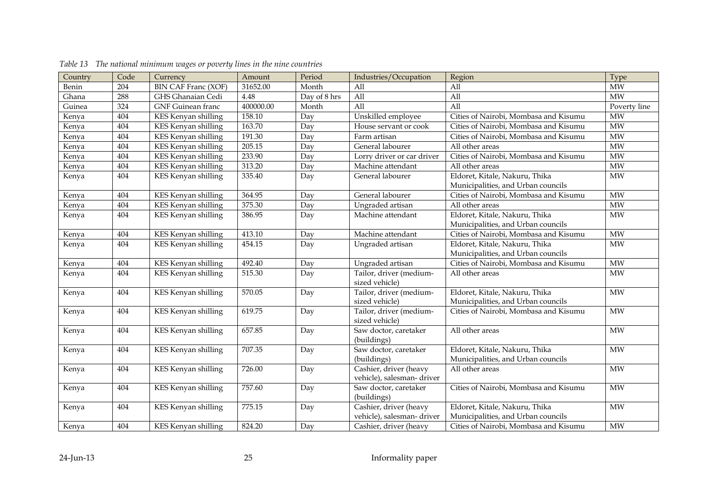<span id="page-24-0"></span>

| Country | Code | Currency                   | Amount    | Period       | Industries/Occupation      | Region                                | Type                   |
|---------|------|----------------------------|-----------|--------------|----------------------------|---------------------------------------|------------------------|
| Benin   | 204  | <b>BIN CAF Franc (XOF)</b> | 31652.00  | Month        | $\overline{All}$           | All                                   | <b>MW</b>              |
| Ghana   | 288  | GHS Ghanaian Cedi          | 4.48      | Day of 8 hrs | $\overline{All}$           | All                                   | $\overline{MW}$        |
| Guinea  | 324  | <b>GNF</b> Guinean franc   | 400000.00 | Month        | $\overline{All}$           | All                                   | Poverty line           |
| Kenya   | 404  | KES Kenyan shilling        | 158.10    | Day          | Unskilled employee         | Cities of Nairobi, Mombasa and Kisumu | <b>MW</b>              |
| Kenya   | 404  | KES Kenyan shilling        | 163.70    | Day          | House servant or cook      | Cities of Nairobi, Mombasa and Kisumu | <b>MW</b>              |
| Kenya   | 404  | KES Kenyan shilling        | 191.30    | Day          | Farm artisan               | Cities of Nairobi, Mombasa and Kisumu | <b>MW</b>              |
| Kenya   | 404  | KES Kenyan shilling        | 205.15    | Day          | General labourer           | All other areas                       | MW                     |
| Kenya   | 404  | KES Kenyan shilling        | 233.90    | Day          | Lorry driver or car driver | Cities of Nairobi, Mombasa and Kisumu | <b>MW</b>              |
| Kenya   | 404  | KES Kenyan shilling        | 313.20    | Day          | Machine attendant          | All other areas                       | $\overline{\text{MW}}$ |
| Kenya   | 404  | KES Kenyan shilling        | 335.40    | Day          | General labourer           | Eldoret, Kitale, Nakuru, Thika        | <b>MW</b>              |
|         |      |                            |           |              |                            | Municipalities, and Urban councils    |                        |
| Kenya   | 404  | KES Kenyan shilling        | 364.95    | Day          | General labourer           | Cities of Nairobi, Mombasa and Kisumu | <b>MW</b>              |
| Kenya   | 404  | <b>KES Kenyan shilling</b> | 375.30    | Day          | Ungraded artisan           | All other areas                       | $\overline{\text{MW}}$ |
| Kenya   | 404  | KES Kenyan shilling        | 386.95    | Day          | Machine attendant          | Eldoret, Kitale, Nakuru, Thika        | <b>MW</b>              |
|         |      |                            |           |              |                            | Municipalities, and Urban councils    |                        |
| Kenya   | 404  | KES Kenyan shilling        | 413.10    | Day          | Machine attendant          | Cities of Nairobi, Mombasa and Kisumu | <b>MW</b>              |
| Kenya   | 404  | KES Kenyan shilling        | 454.15    | Day          | Ungraded artisan           | Eldoret, Kitale, Nakuru, Thika        | <b>MW</b>              |
|         |      |                            |           |              |                            | Municipalities, and Urban councils    |                        |
| Kenya   | 404  | KES Kenyan shilling        | 492.40    | Day          | Ungraded artisan           | Cities of Nairobi, Mombasa and Kisumu | <b>MW</b>              |
| Kenya   | 404  | KES Kenyan shilling        | 515.30    | Day          | Tailor, driver (medium-    | All other areas                       | <b>MW</b>              |
|         |      |                            |           |              | sized vehicle)             |                                       |                        |
| Kenya   | 404  | KES Kenyan shilling        | 570.05    | Day          | Tailor, driver (medium-    | Eldoret, Kitale, Nakuru, Thika        | <b>MW</b>              |
|         |      |                            |           |              | sized vehicle)             | Municipalities, and Urban councils    |                        |
| Kenya   | 404  | KES Kenyan shilling        | 619.75    | Day          | Tailor, driver (medium-    | Cities of Nairobi, Mombasa and Kisumu | <b>MW</b>              |
|         |      |                            |           |              | sized vehicle)             |                                       |                        |
| Kenya   | 404  | KES Kenyan shilling        | 657.85    | Day          | Saw doctor, caretaker      | All other areas                       | <b>MW</b>              |
|         |      |                            |           |              | (buildings)                |                                       |                        |
| Kenya   | 404  | KES Kenyan shilling        | 707.35    | Day          | Saw doctor, caretaker      | Eldoret, Kitale, Nakuru, Thika        | <b>MW</b>              |
|         |      |                            |           |              | (buildings)                | Municipalities, and Urban councils    |                        |
| Kenya   | 404  | <b>KES Kenyan shilling</b> | 726.00    | Day          | Cashier, driver (heavy     | All other areas                       | <b>MW</b>              |
|         |      |                            |           |              | vehicle), salesman-driver  |                                       |                        |
| Kenya   | 404  | KES Kenyan shilling        | 757.60    | Day          | Saw doctor, caretaker      | Cities of Nairobi, Mombasa and Kisumu | <b>MW</b>              |
|         |      |                            |           |              | (buildings)                |                                       |                        |
| Kenya   | 404  | KES Kenyan shilling        | 775.15    | Day          | Cashier, driver (heavy     | Eldoret, Kitale, Nakuru, Thika        | <b>MW</b>              |
|         |      |                            |           |              | vehicle), salesman-driver  | Municipalities, and Urban councils    |                        |
| Kenya   | 404  | KES Kenyan shilling        | 824.20    | Day          | Cashier, driver (heavy     | Cities of Nairobi, Mombasa and Kisumu | <b>MW</b>              |

*Table 13 The national minimum wages or poverty lines in the nine countries*